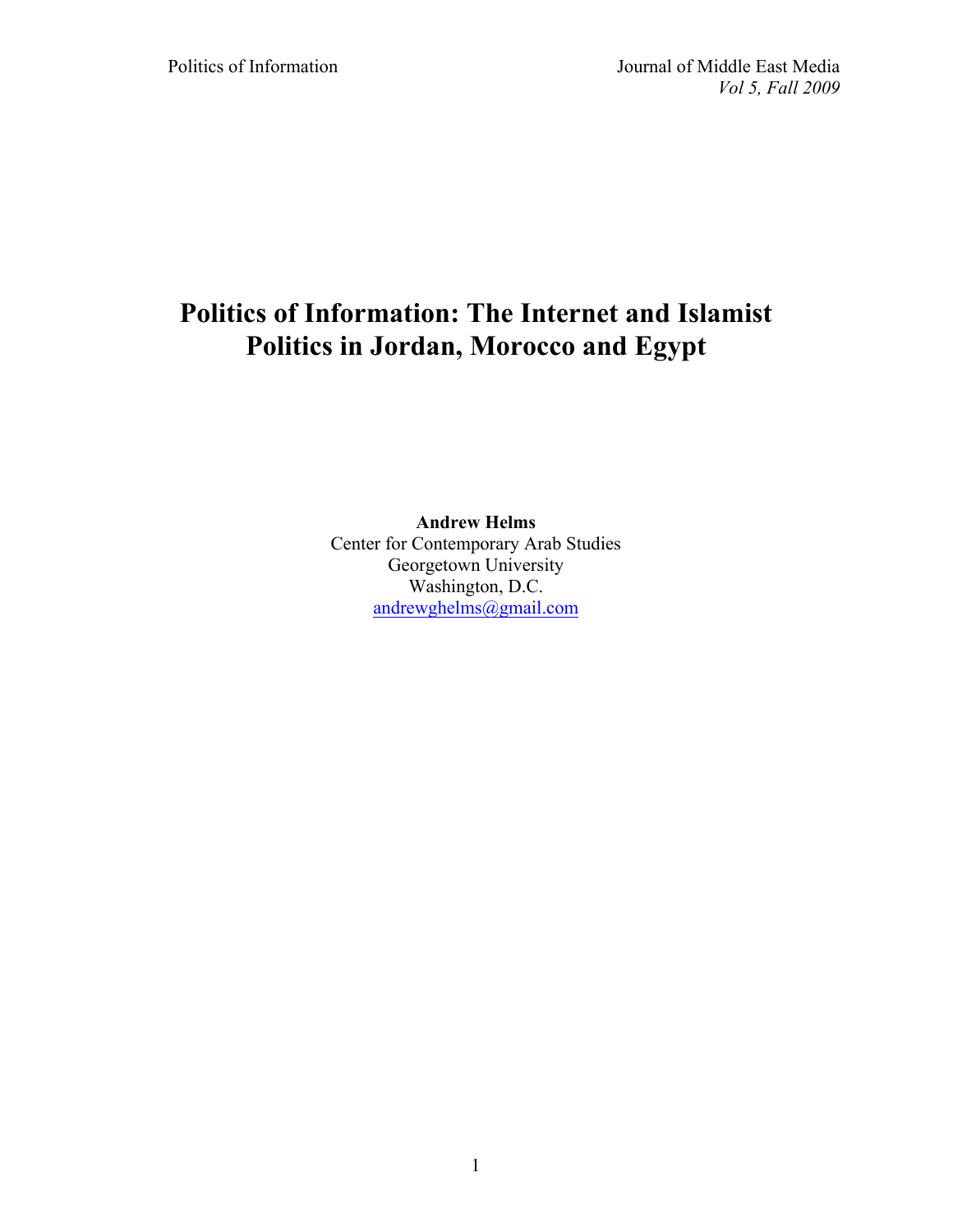# **Politics of Information: The Internet and Islamist Politics in Jordan, Morocco and Egypt**

# **Andrew Helms**

Center for Contemporary Arab Studies Georgetown University Washington, D.C. andrewghelms@gmail.com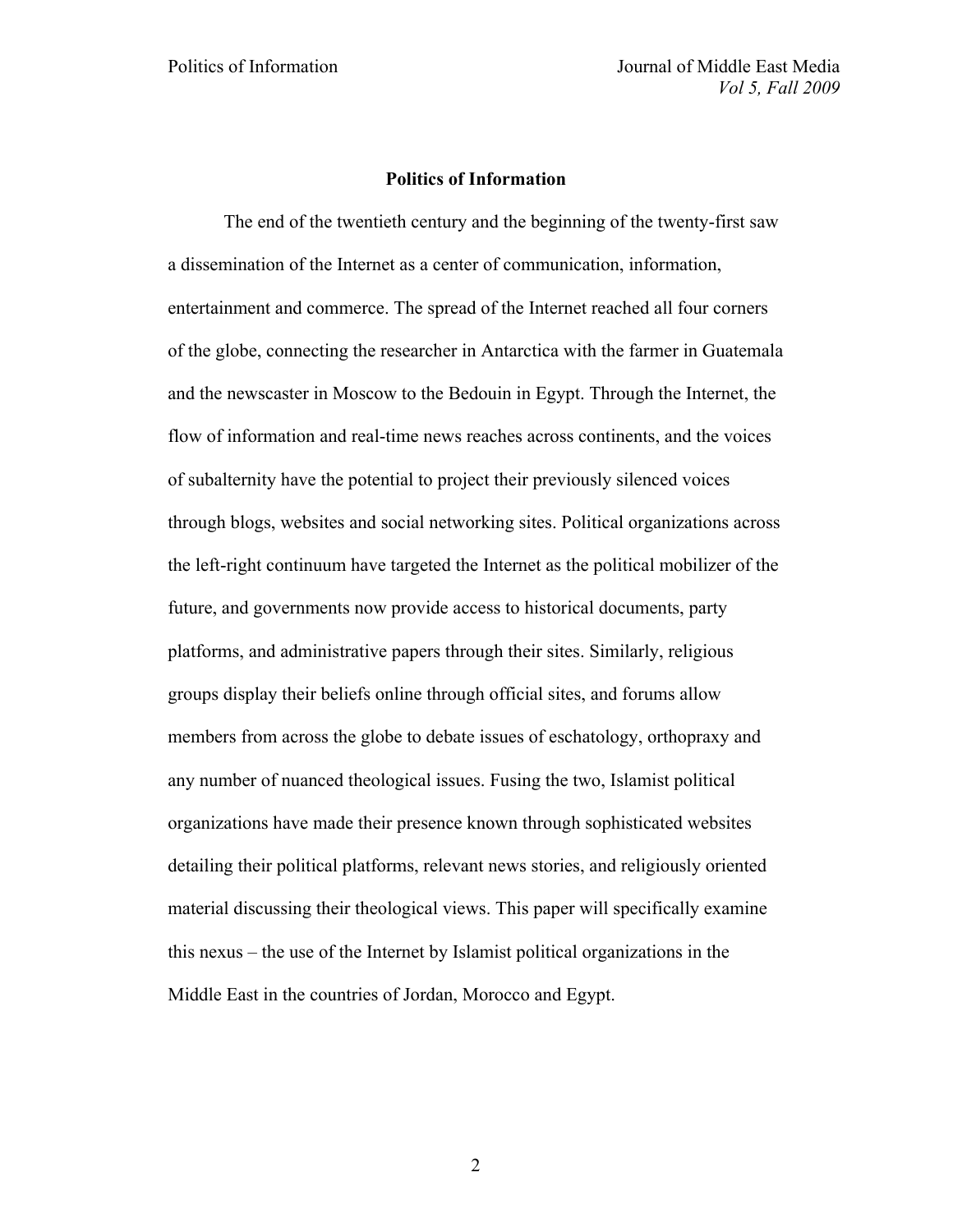# **Politics of Information**

The end of the twentieth century and the beginning of the twenty-first saw a dissemination of the Internet as a center of communication, information, entertainment and commerce. The spread of the Internet reached all four corners of the globe, connecting the researcher in Antarctica with the farmer in Guatemala and the newscaster in Moscow to the Bedouin in Egypt. Through the Internet, the flow of information and real-time news reaches across continents, and the voices of subalternity have the potential to project their previously silenced voices through blogs, websites and social networking sites. Political organizations across the left-right continuum have targeted the Internet as the political mobilizer of the future, and governments now provide access to historical documents, party platforms, and administrative papers through their sites. Similarly, religious groups display their beliefs online through official sites, and forums allow members from across the globe to debate issues of eschatology, orthopraxy and any number of nuanced theological issues. Fusing the two, Islamist political organizations have made their presence known through sophisticated websites detailing their political platforms, relevant news stories, and religiously oriented material discussing their theological views. This paper will specifically examine this nexus – the use of the Internet by Islamist political organizations in the Middle East in the countries of Jordan, Morocco and Egypt.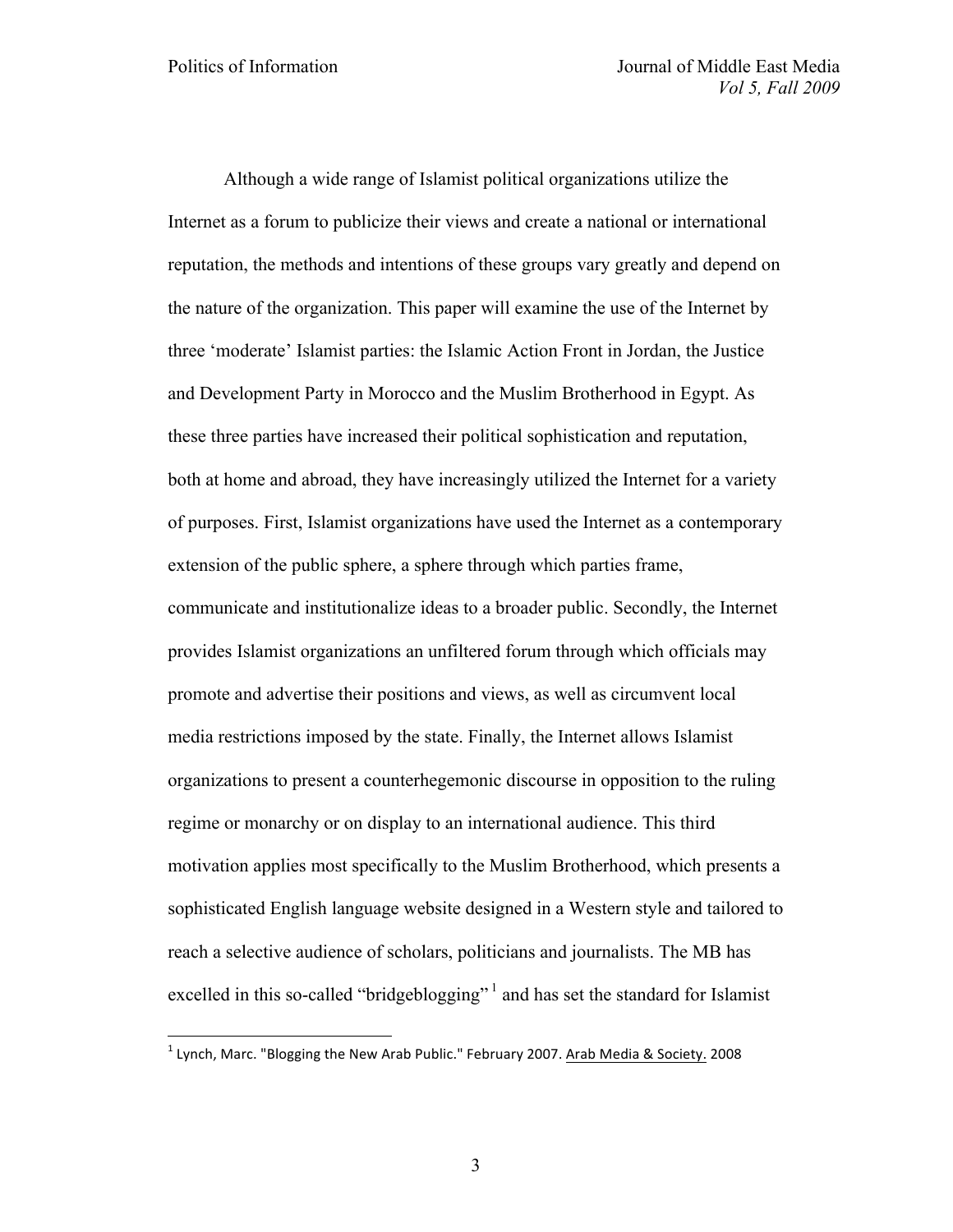Although a wide range of Islamist political organizations utilize the Internet as a forum to publicize their views and create a national or international reputation, the methods and intentions of these groups vary greatly and depend on the nature of the organization. This paper will examine the use of the Internet by three 'moderate' Islamist parties: the Islamic Action Front in Jordan, the Justice and Development Party in Morocco and the Muslim Brotherhood in Egypt. As these three parties have increased their political sophistication and reputation, both at home and abroad, they have increasingly utilized the Internet for a variety of purposes. First, Islamist organizations have used the Internet as a contemporary extension of the public sphere, a sphere through which parties frame, communicate and institutionalize ideas to a broader public. Secondly, the Internet provides Islamist organizations an unfiltered forum through which officials may promote and advertise their positions and views, as well as circumvent local media restrictions imposed by the state. Finally, the Internet allows Islamist organizations to present a counterhegemonic discourse in opposition to the ruling regime or monarchy or on display to an international audience. This third motivation applies most specifically to the Muslim Brotherhood, which presents a sophisticated English language website designed in a Western style and tailored to reach a selective audience of scholars, politicians and journalists. The MB has excelled in this so-called "bridgeblogging"<sup>1</sup> and has set the standard for Islamist

 $1$  Lynch, Marc. "Blogging the New Arab Public." February 2007. Arab Media & Society. 2008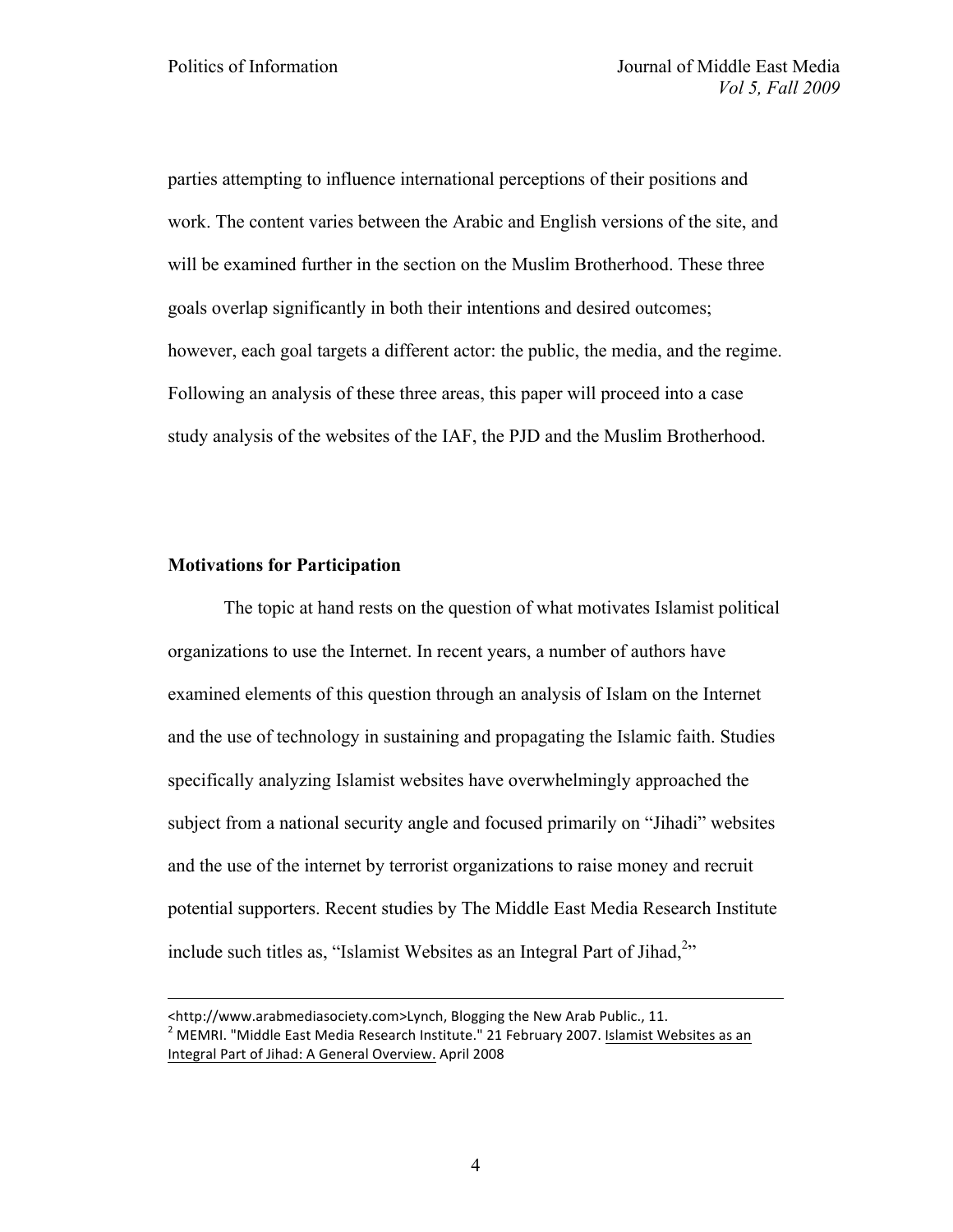parties attempting to influence international perceptions of their positions and work. The content varies between the Arabic and English versions of the site, and will be examined further in the section on the Muslim Brotherhood. These three goals overlap significantly in both their intentions and desired outcomes; however, each goal targets a different actor: the public, the media, and the regime. Following an analysis of these three areas, this paper will proceed into a case study analysis of the websites of the IAF, the PJD and the Muslim Brotherhood.

# **Motivations for Participation**

1

The topic at hand rests on the question of what motivates Islamist political organizations to use the Internet. In recent years, a number of authors have examined elements of this question through an analysis of Islam on the Internet and the use of technology in sustaining and propagating the Islamic faith. Studies specifically analyzing Islamist websites have overwhelmingly approached the subject from a national security angle and focused primarily on "Jihadi" websites and the use of the internet by terrorist organizations to raise money and recruit potential supporters. Recent studies by The Middle East Media Research Institute include such titles as, "Islamist Websites as an Integral Part of Jihad, $2$ "

<sup>&</sup>lt;http://www.arabmediasociety.com>Lynch, Blogging the New Arab Public., 11.<br><sup>2</sup> MEMRI. "Middle East Media Research Institute." 21 February 2007. Islamist Websites as an Integral Part of Jihad: A General Overview. April 2008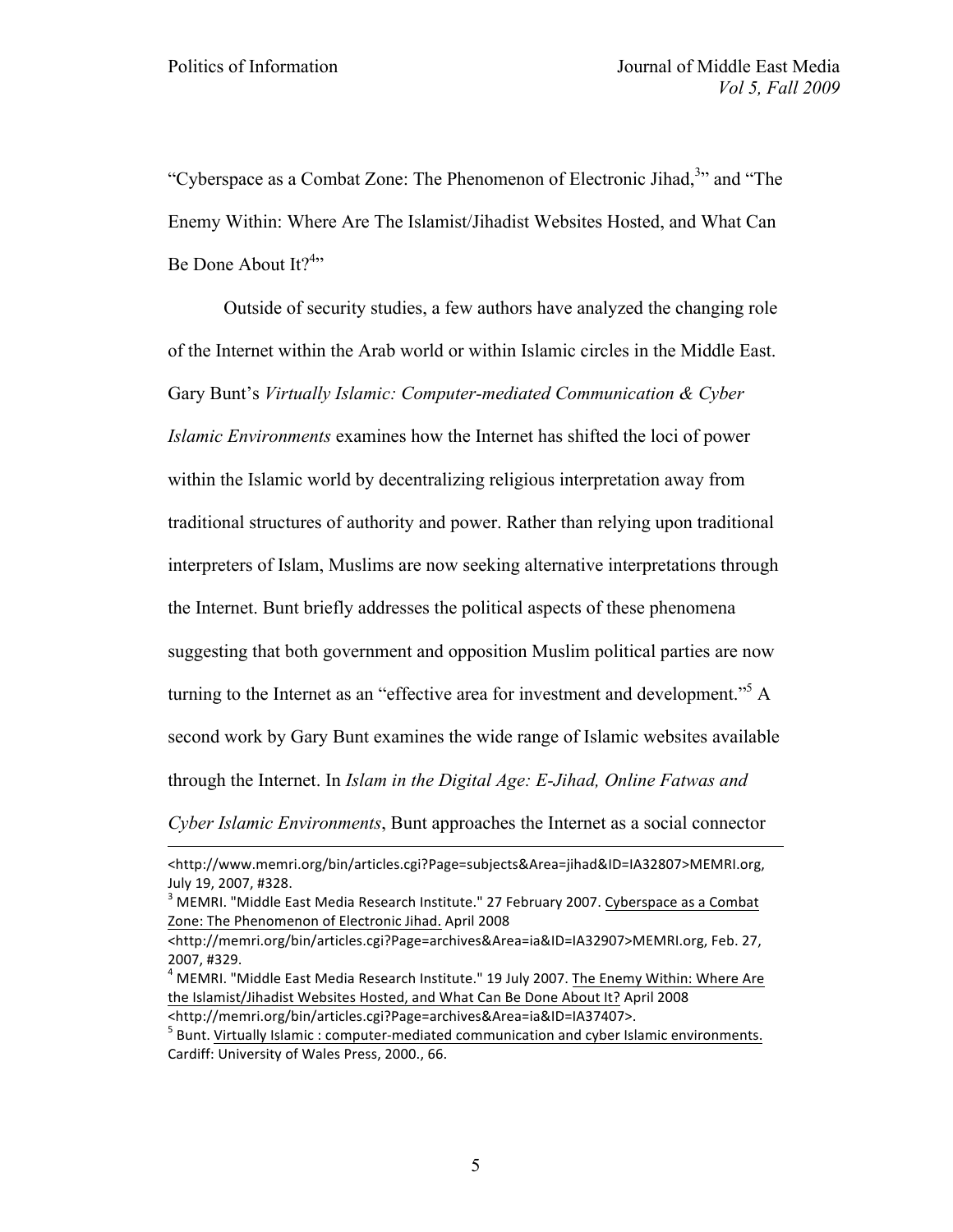1

"Cyberspace as a Combat Zone: The Phenomenon of Electronic Jihad,<sup>3</sup>" and "The Enemy Within: Where Are The Islamist/Jihadist Websites Hosted, and What Can Be Done About It?<sup>4</sup>"

Outside of security studies, a few authors have analyzed the changing role of the Internet within the Arab world or within Islamic circles in the Middle East. Gary Bunt's *Virtually Islamic: Computer-mediated Communication & Cyber Islamic Environments* examines how the Internet has shifted the loci of power within the Islamic world by decentralizing religious interpretation away from traditional structures of authority and power. Rather than relying upon traditional interpreters of Islam, Muslims are now seeking alternative interpretations through the Internet. Bunt briefly addresses the political aspects of these phenomena suggesting that both government and opposition Muslim political parties are now turning to the Internet as an "effective area for investment and development."5 A second work by Gary Bunt examines the wide range of Islamic websites available through the Internet. In *Islam in the Digital Age: E-Jihad, Online Fatwas and* 

*Cyber Islamic Environments*, Bunt approaches the Internet as a social connector

<sup>&</sup>lt;http://www.memri.org/bin/articles.cgi?Page=subjects&Area=jihad&ID=IA32807>MEMRI.org, July 19, 2007, #328.<br><sup>3</sup> MEMRI. "Middle East Media Research Institute." 27 February 2007. Cyberspace as a Combat

Zone: The Phenomenon of Electronic Jihad. April 2008

<sup>&</sup>lt;http://memri.org/bin/articles.cgi?Page=archives&Area=ia&ID=IA32907>MEMRI.org, Feb. 27, 2007, #329.

 $^4$  MEMRI. "Middle East Media Research Institute." 19 July 2007. The Enemy Within: Where Are the Islamist/Jihadist Websites Hosted, and What Can Be Done About It? April 2008 <http://memri.org/bin/articles.cgi?Page=archives&Area=ia&ID=IA37407>.

 $<sup>5</sup>$  Bunt. Virtually Islamic : computer-mediated communication and cyber Islamic environments.</sup> Cardiff: University of Wales Press, 2000., 66.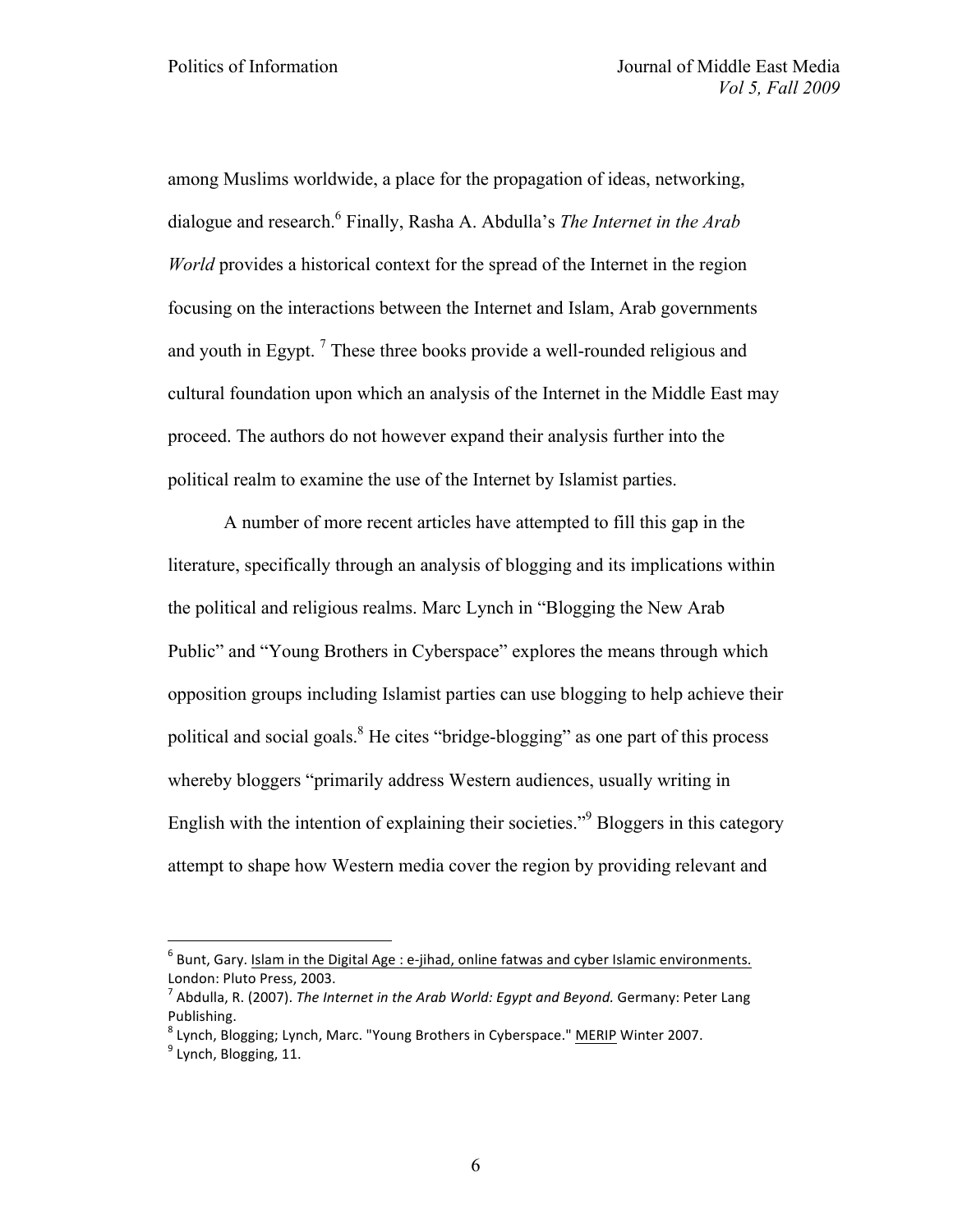among Muslims worldwide, a place for the propagation of ideas, networking, dialogue and research.6 Finally, Rasha A. Abdulla's *The Internet in the Arab World* provides a historical context for the spread of the Internet in the region focusing on the interactions between the Internet and Islam, Arab governments and youth in Egypt.<sup>7</sup> These three books provide a well-rounded religious and cultural foundation upon which an analysis of the Internet in the Middle East may proceed. The authors do not however expand their analysis further into the political realm to examine the use of the Internet by Islamist parties.

A number of more recent articles have attempted to fill this gap in the literature, specifically through an analysis of blogging and its implications within the political and religious realms. Marc Lynch in "Blogging the New Arab Public" and "Young Brothers in Cyberspace" explores the means through which opposition groups including Islamist parties can use blogging to help achieve their political and social goals.<sup>8</sup> He cites "bridge-blogging" as one part of this process whereby bloggers "primarily address Western audiences, usually writing in English with the intention of explaining their societies."9 Bloggers in this category attempt to shape how Western media cover the region by providing relevant and

 $^6$  Bunt, Gary. Islam in the Digital Age : e-jihad, online fatwas and cyber Islamic environments. London: Pluto Press, 2003.<br><sup>7</sup> Abdulla, R. (2007). *The Internet in the Arab World: Egypt and Beyond.* Germany: Peter Lang

Publishing.<br><sup>8</sup> Lynch, Blogging; Lynch, Marc. "Young Brothers in Cyberspace." MERIP Winter 2007.<br><sup>9</sup> Lynch, Blogging, 11.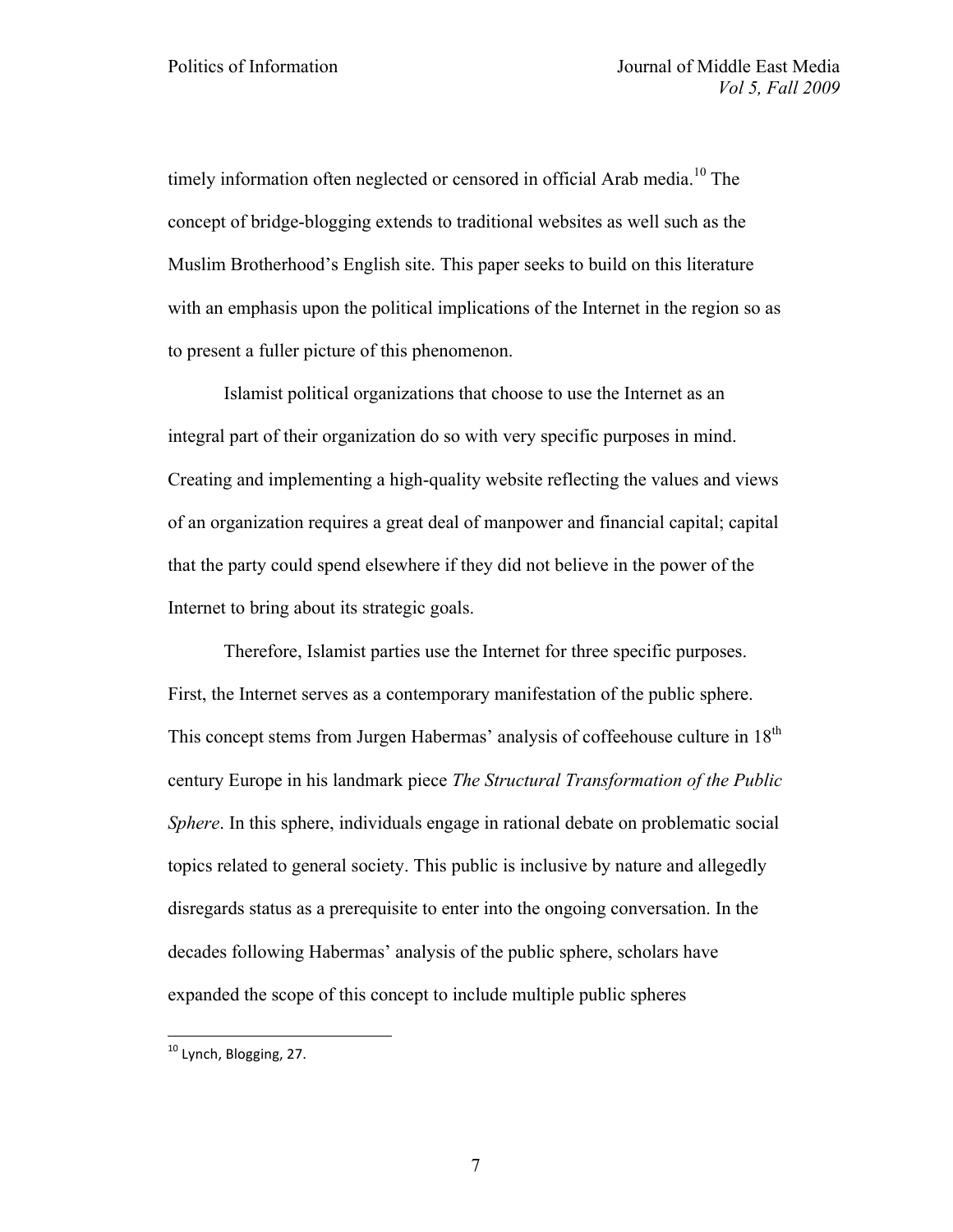timely information often neglected or censored in official Arab media.<sup>10</sup> The concept of bridge-blogging extends to traditional websites as well such as the Muslim Brotherhood's English site. This paper seeks to build on this literature with an emphasis upon the political implications of the Internet in the region so as to present a fuller picture of this phenomenon.

Islamist political organizations that choose to use the Internet as an integral part of their organization do so with very specific purposes in mind. Creating and implementing a high-quality website reflecting the values and views of an organization requires a great deal of manpower and financial capital; capital that the party could spend elsewhere if they did not believe in the power of the Internet to bring about its strategic goals.

Therefore, Islamist parties use the Internet for three specific purposes. First, the Internet serves as a contemporary manifestation of the public sphere. This concept stems from Jurgen Habermas' analysis of coffeehouse culture in 18<sup>th</sup> century Europe in his landmark piece *The Structural Transformation of the Public Sphere*. In this sphere, individuals engage in rational debate on problematic social topics related to general society. This public is inclusive by nature and allegedly disregards status as a prerequisite to enter into the ongoing conversation. In the decades following Habermas' analysis of the public sphere, scholars have expanded the scope of this concept to include multiple public spheres

<sup>&</sup>lt;sup>10</sup> Lvnch, Blogging, 27.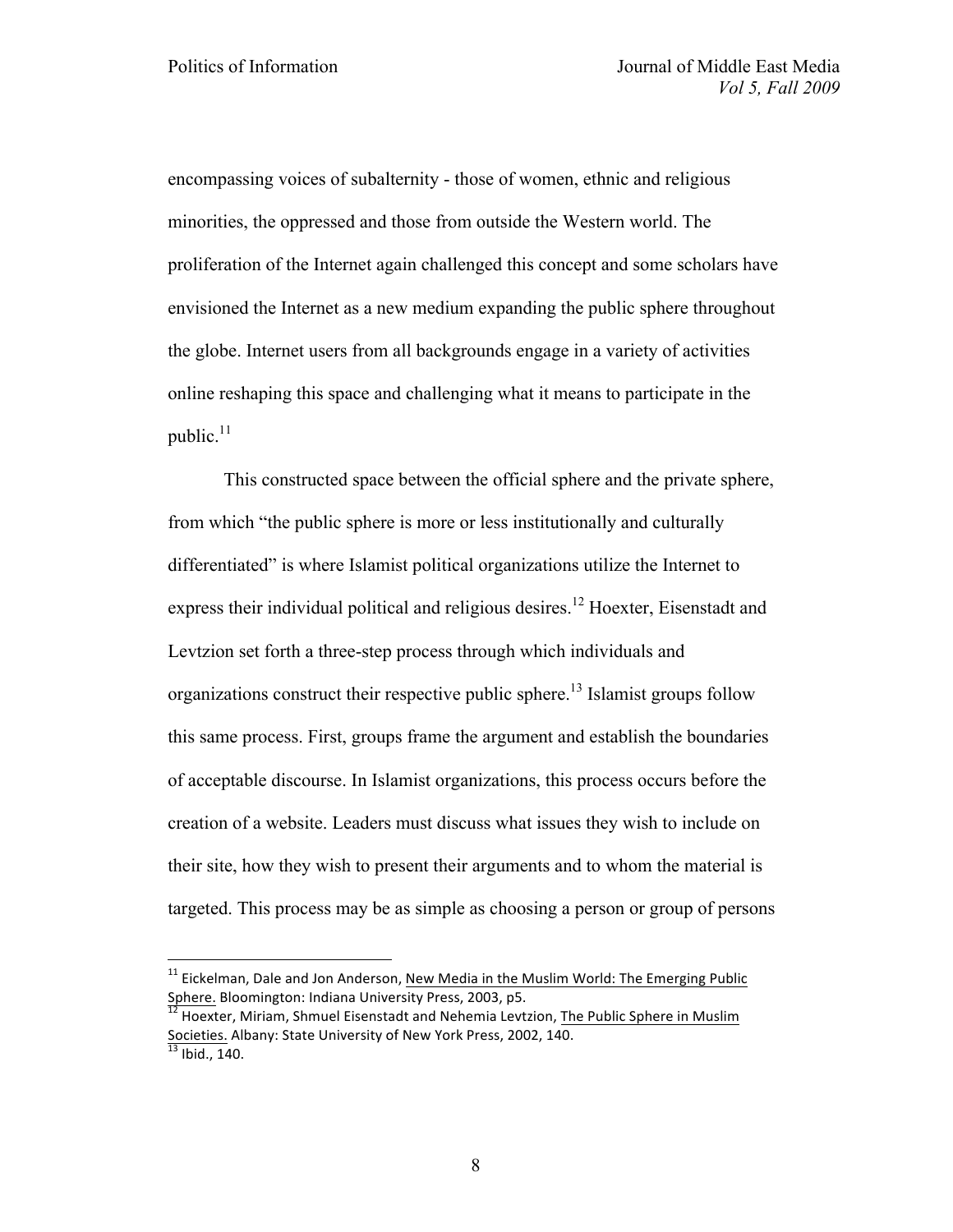encompassing voices of subalternity - those of women, ethnic and religious minorities, the oppressed and those from outside the Western world. The proliferation of the Internet again challenged this concept and some scholars have envisioned the Internet as a new medium expanding the public sphere throughout the globe. Internet users from all backgrounds engage in a variety of activities online reshaping this space and challenging what it means to participate in the public. $^{11}$ 

This constructed space between the official sphere and the private sphere, from which "the public sphere is more or less institutionally and culturally differentiated" is where Islamist political organizations utilize the Internet to express their individual political and religious desires.<sup>12</sup> Hoexter, Eisenstadt and Levtzion set forth a three-step process through which individuals and organizations construct their respective public sphere.<sup>13</sup> Islamist groups follow this same process. First, groups frame the argument and establish the boundaries of acceptable discourse. In Islamist organizations, this process occurs before the creation of a website. Leaders must discuss what issues they wish to include on their site, how they wish to present their arguments and to whom the material is targeted. This process may be as simple as choosing a person or group of persons

 $11$  Eickelman, Dale and Jon Anderson, New Media in the Muslim World: The Emerging Public Sphere. Bloomington: Indiana University Press, 2003, p5.<br>
<sup>12</sup> Hoexter, Miriam, Shmuel Eisenstadt and Nehemia Levtzion, The Public Sphere in Muslim

Societies. Albany: State University of New York Press, 2002, 140.  $\frac{13}{13}$  Ibid., 140.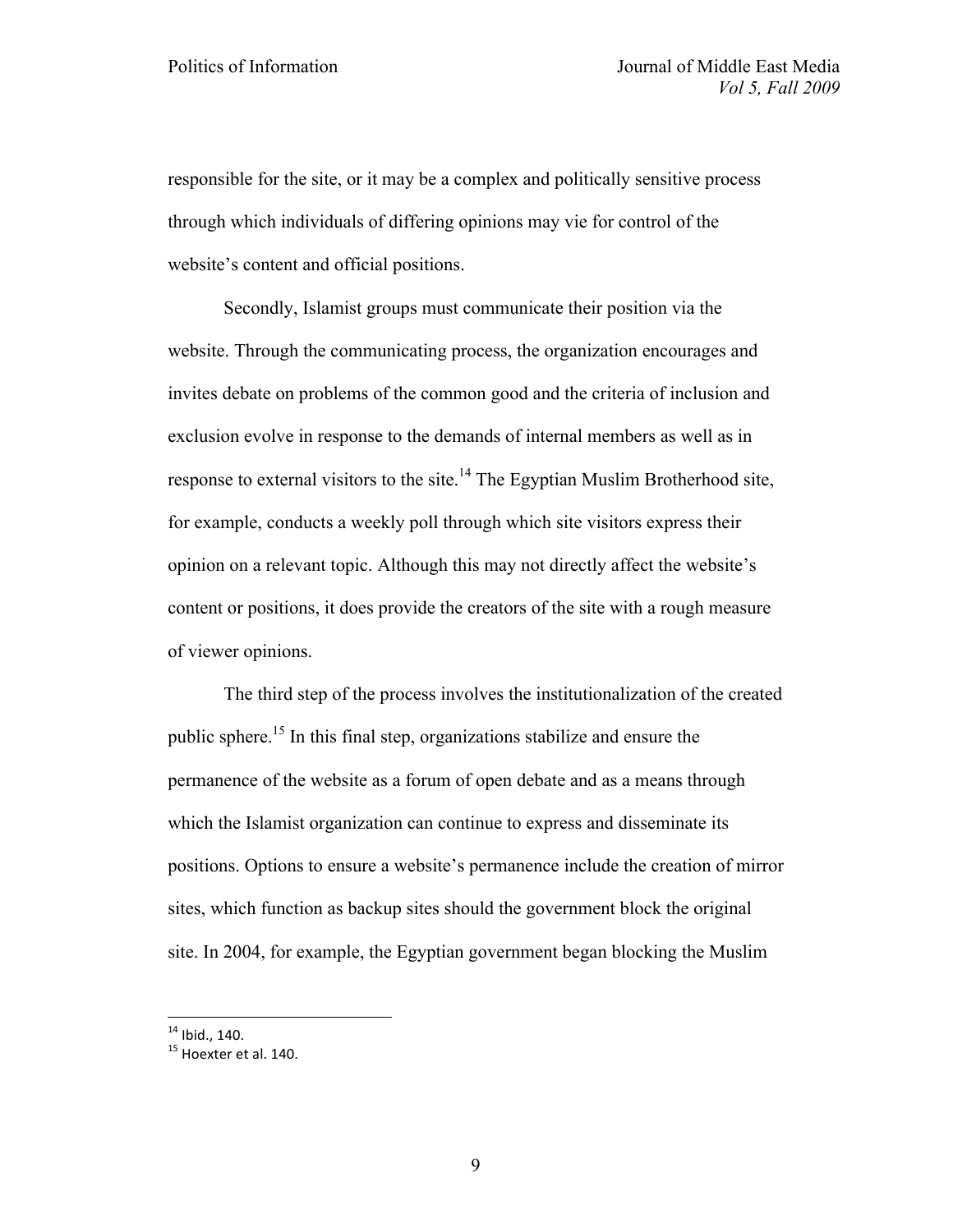responsible for the site, or it may be a complex and politically sensitive process through which individuals of differing opinions may vie for control of the website's content and official positions.

Secondly, Islamist groups must communicate their position via the website. Through the communicating process, the organization encourages and invites debate on problems of the common good and the criteria of inclusion and exclusion evolve in response to the demands of internal members as well as in response to external visitors to the site.<sup>14</sup> The Egyptian Muslim Brotherhood site, for example, conducts a weekly poll through which site visitors express their opinion on a relevant topic. Although this may not directly affect the website's content or positions, it does provide the creators of the site with a rough measure of viewer opinions.

The third step of the process involves the institutionalization of the created public sphere.15 In this final step, organizations stabilize and ensure the permanence of the website as a forum of open debate and as a means through which the Islamist organization can continue to express and disseminate its positions. Options to ensure a website's permanence include the creation of mirror sites, which function as backup sites should the government block the original site. In 2004, for example, the Egyptian government began blocking the Muslim

 $14$  Ibid., 140.<br> $15$  Hoexter et al. 140.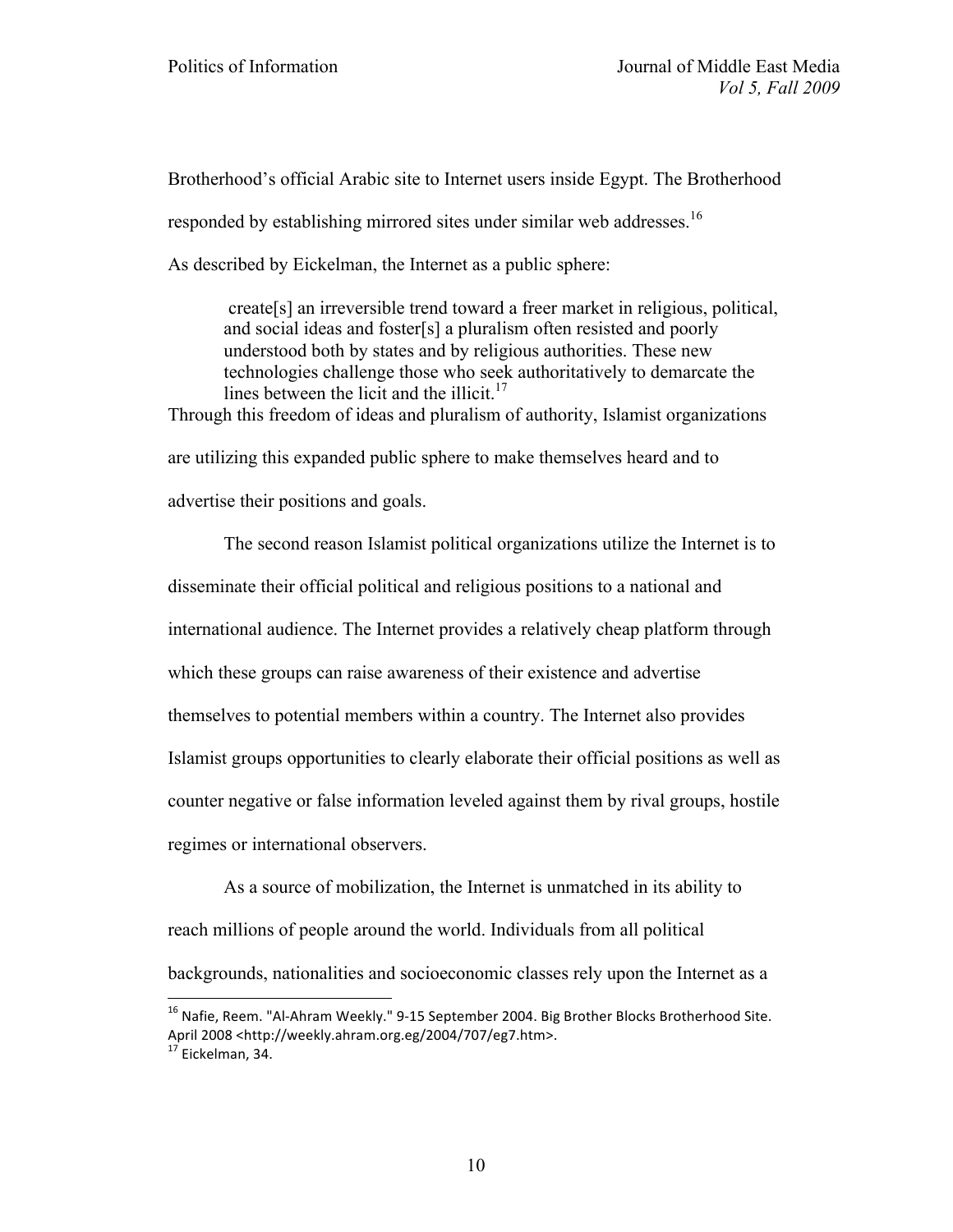Brotherhood's official Arabic site to Internet users inside Egypt. The Brotherhood responded by establishing mirrored sites under similar web addresses.<sup>16</sup>

As described by Eickelman, the Internet as a public sphere:

create[s] an irreversible trend toward a freer market in religious, political, and social ideas and foster[s] a pluralism often resisted and poorly understood both by states and by religious authorities. These new technologies challenge those who seek authoritatively to demarcate the lines between the licit and the illicit. $17$ Through this freedom of ideas and pluralism of authority, Islamist organizations

are utilizing this expanded public sphere to make themselves heard and to advertise their positions and goals.

The second reason Islamist political organizations utilize the Internet is to disseminate their official political and religious positions to a national and international audience. The Internet provides a relatively cheap platform through which these groups can raise awareness of their existence and advertise themselves to potential members within a country. The Internet also provides Islamist groups opportunities to clearly elaborate their official positions as well as counter negative or false information leveled against them by rival groups, hostile regimes or international observers.

As a source of mobilization, the Internet is unmatched in its ability to reach millions of people around the world. Individuals from all political backgrounds, nationalities and socioeconomic classes rely upon the Internet as a

 $^{16}$  Nafie, Reem. "Al-Ahram Weekly." 9-15 September 2004. Big Brother Blocks Brotherhood Site. April 2008 <http://weekly.ahram.org.eg/2004/707/eg7.htm>.<br><sup>17</sup> Eickelman, 34.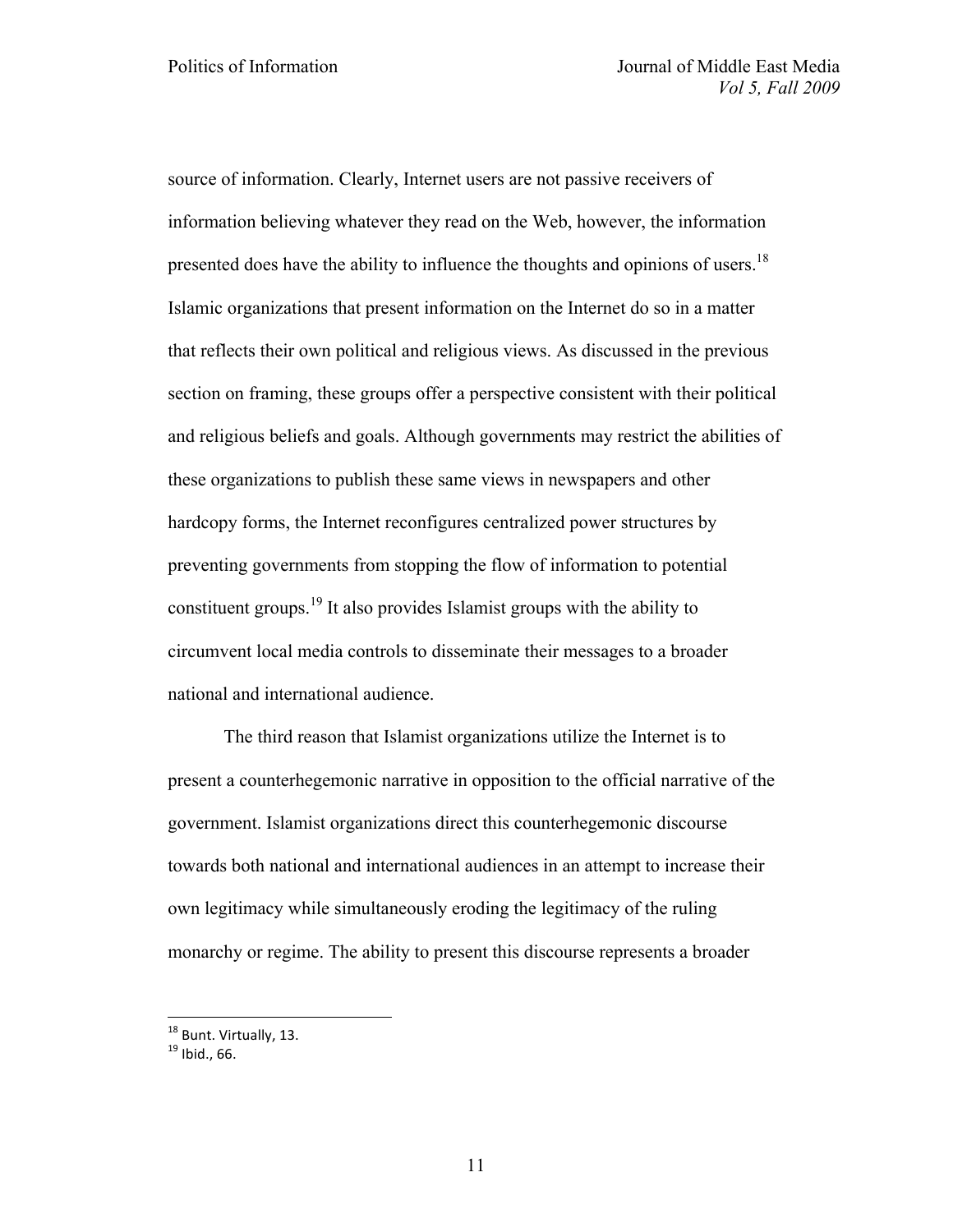source of information. Clearly, Internet users are not passive receivers of information believing whatever they read on the Web, however, the information presented does have the ability to influence the thoughts and opinions of users.<sup>18</sup> Islamic organizations that present information on the Internet do so in a matter that reflects their own political and religious views. As discussed in the previous section on framing, these groups offer a perspective consistent with their political and religious beliefs and goals. Although governments may restrict the abilities of these organizations to publish these same views in newspapers and other hardcopy forms, the Internet reconfigures centralized power structures by preventing governments from stopping the flow of information to potential constituent groups.<sup>19</sup> It also provides Islamist groups with the ability to circumvent local media controls to disseminate their messages to a broader national and international audience.

The third reason that Islamist organizations utilize the Internet is to present a counterhegemonic narrative in opposition to the official narrative of the government. Islamist organizations direct this counterhegemonic discourse towards both national and international audiences in an attempt to increase their own legitimacy while simultaneously eroding the legitimacy of the ruling monarchy or regime. The ability to present this discourse represents a broader

 $18$  Bunt. Virtually, 13.<br> $19$  Ibid., 66.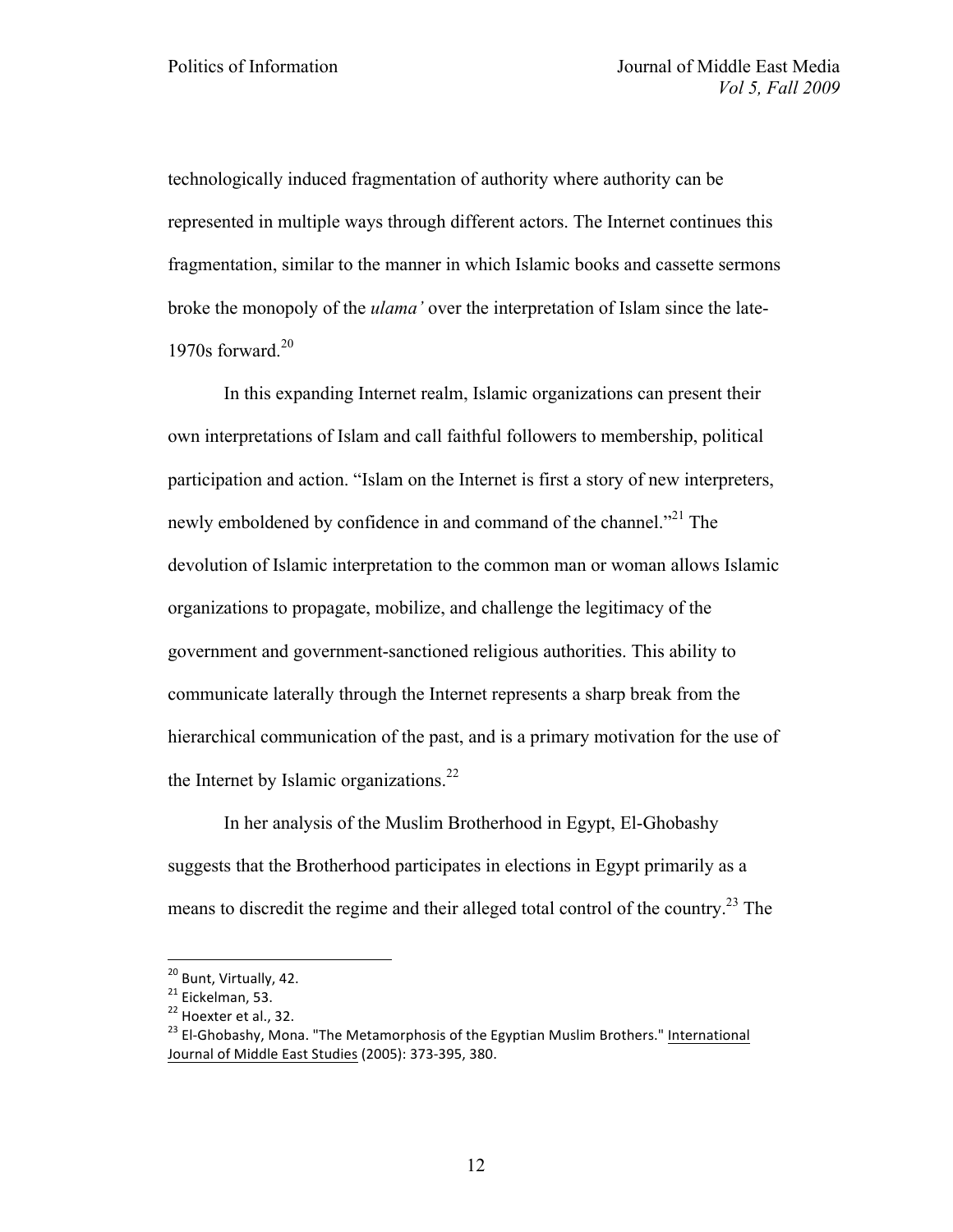technologically induced fragmentation of authority where authority can be represented in multiple ways through different actors. The Internet continues this fragmentation, similar to the manner in which Islamic books and cassette sermons broke the monopoly of the *ulama'* over the interpretation of Islam since the late-1970s forward. $20$ 

In this expanding Internet realm, Islamic organizations can present their own interpretations of Islam and call faithful followers to membership, political participation and action. "Islam on the Internet is first a story of new interpreters, newly emboldened by confidence in and command of the channel.<sup>"21</sup> The devolution of Islamic interpretation to the common man or woman allows Islamic organizations to propagate, mobilize, and challenge the legitimacy of the government and government-sanctioned religious authorities. This ability to communicate laterally through the Internet represents a sharp break from the hierarchical communication of the past, and is a primary motivation for the use of the Internet by Islamic organizations.<sup>22</sup>

In her analysis of the Muslim Brotherhood in Egypt, El-Ghobashy suggests that the Brotherhood participates in elections in Egypt primarily as a means to discredit the regime and their alleged total control of the country.23 The

<sup>&</sup>lt;sup>20</sup> Bunt, Virtually, 42.<br><sup>21</sup> Eickelman, 53.<br><sup>22</sup> Hoexter et al., 32.<br><sup>23</sup> El-Ghobashy, Mona. "The Metamorphosis of the Egyptian Muslim Brothers." <u>International</u> Journal of Middle East Studies (2005): 373-395, 380.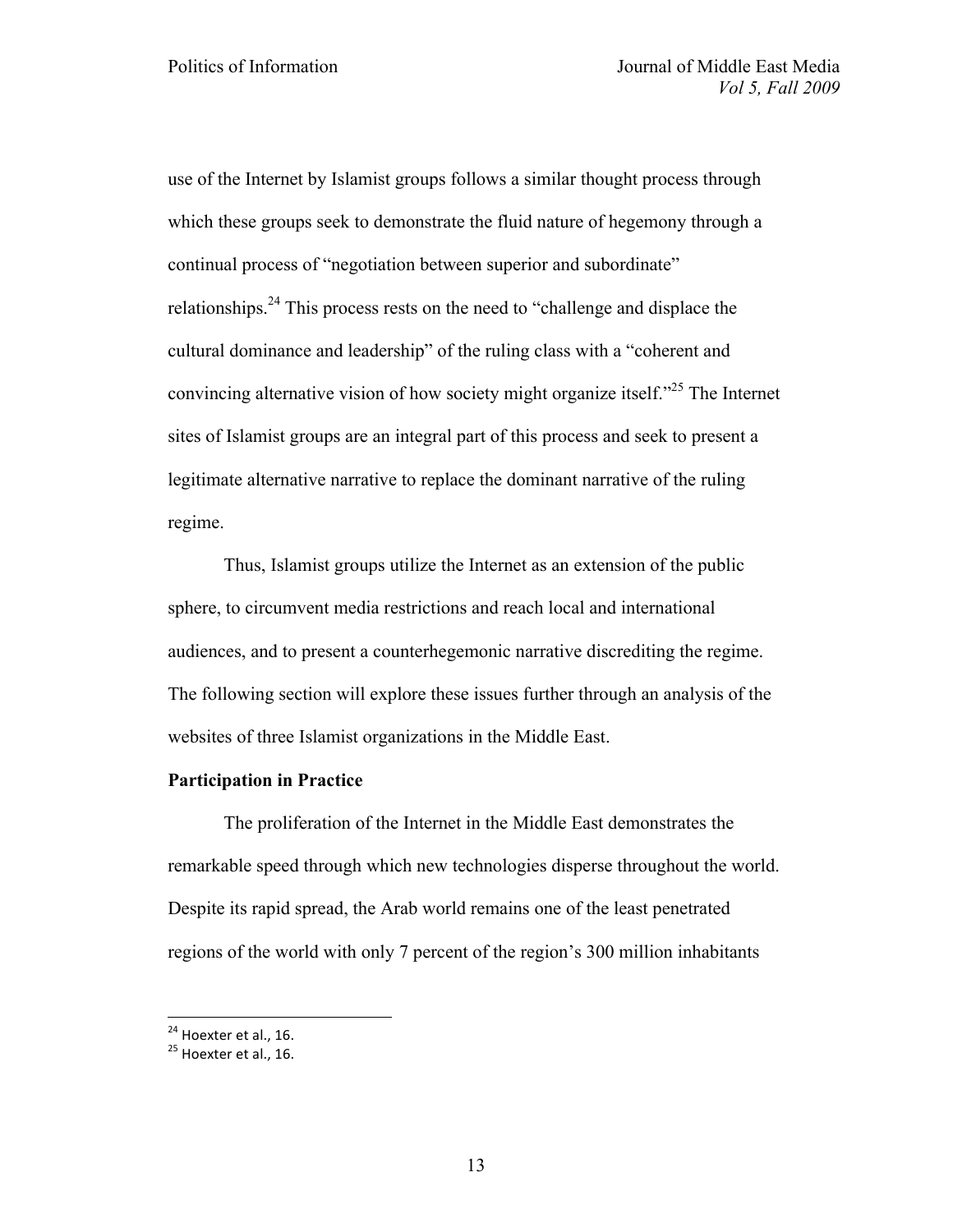use of the Internet by Islamist groups follows a similar thought process through which these groups seek to demonstrate the fluid nature of hegemony through a continual process of "negotiation between superior and subordinate" relationships.<sup>24</sup> This process rests on the need to "challenge and displace the cultural dominance and leadership" of the ruling class with a "coherent and convincing alternative vision of how society might organize itself.<sup> $25$ </sup> The Internet sites of Islamist groups are an integral part of this process and seek to present a legitimate alternative narrative to replace the dominant narrative of the ruling regime.

Thus, Islamist groups utilize the Internet as an extension of the public sphere, to circumvent media restrictions and reach local and international audiences, and to present a counterhegemonic narrative discrediting the regime. The following section will explore these issues further through an analysis of the websites of three Islamist organizations in the Middle East.

# **Participation in Practice**

The proliferation of the Internet in the Middle East demonstrates the remarkable speed through which new technologies disperse throughout the world. Despite its rapid spread, the Arab world remains one of the least penetrated regions of the world with only 7 percent of the region's 300 million inhabitants

 $^{24}$  Hoexter et al., 16.<br> $^{25}$  Hoexter et al., 16.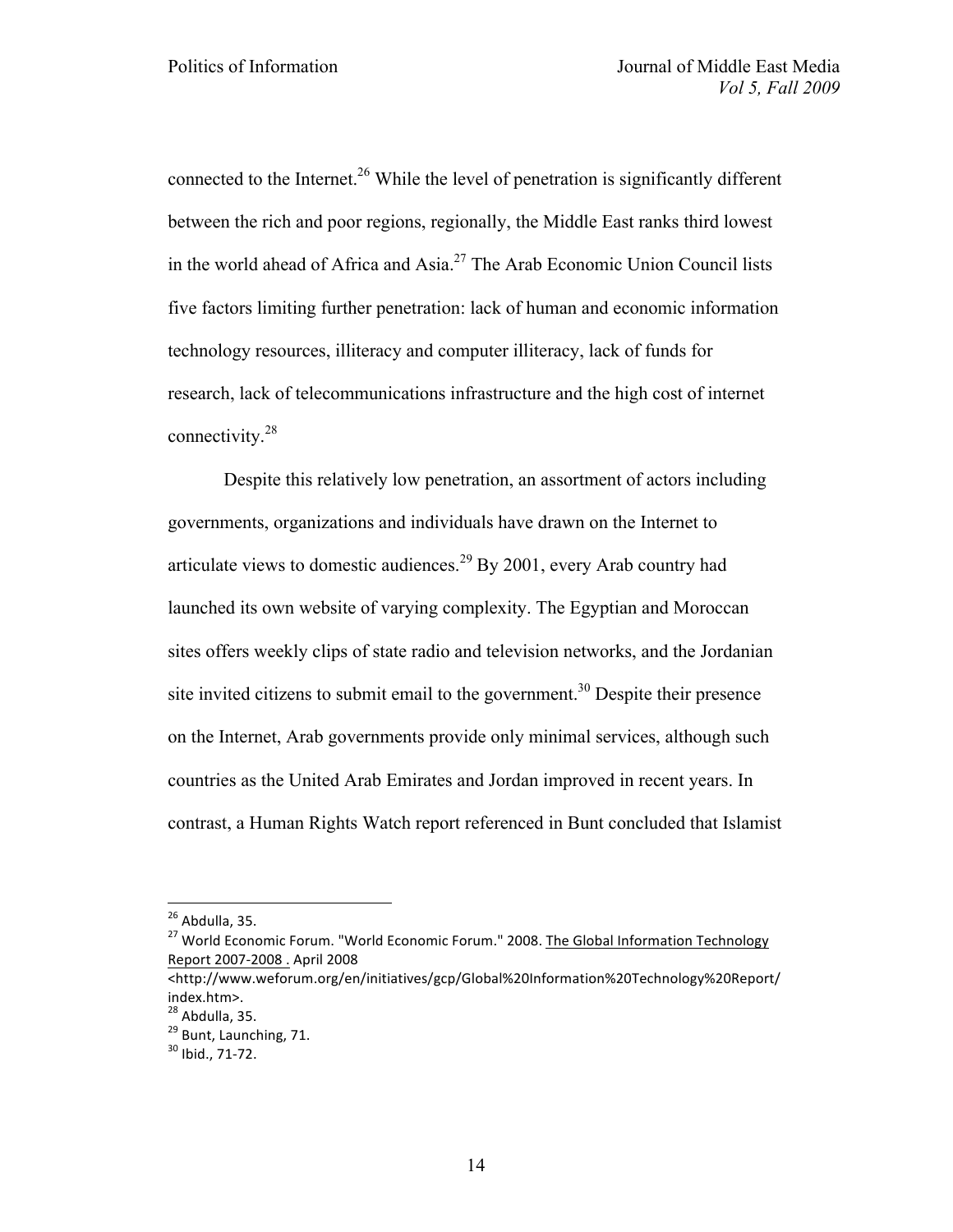connected to the Internet.<sup>26</sup> While the level of penetration is significantly different between the rich and poor regions, regionally, the Middle East ranks third lowest in the world ahead of Africa and Asia.<sup>27</sup> The Arab Economic Union Council lists five factors limiting further penetration: lack of human and economic information technology resources, illiteracy and computer illiteracy, lack of funds for research, lack of telecommunications infrastructure and the high cost of internet connectivity.<sup>28</sup>

Despite this relatively low penetration, an assortment of actors including governments, organizations and individuals have drawn on the Internet to articulate views to domestic audiences.<sup>29</sup> By 2001, every Arab country had launched its own website of varying complexity. The Egyptian and Moroccan sites offers weekly clips of state radio and television networks, and the Jordanian site invited citizens to submit email to the government.<sup>30</sup> Despite their presence on the Internet, Arab governments provide only minimal services, although such countries as the United Arab Emirates and Jordan improved in recent years. In contrast, a Human Rights Watch report referenced in Bunt concluded that Islamist

<sup>&</sup>lt;sup>26</sup> Abdulla, 35.<br><sup>27</sup> World Economic Forum. "World Economic Forum." 2008. The Global Information Technology Report 2007-2008 . April 2008

<sup>&</sup>lt;http://www.weforum.org/en/initiatives/gcp/Global%20Information%20Technology%20Report/ index.htm>.<br><sup>28</sup> Abdulla, 35.

 $\frac{29}{30}$  Bunt, Launching, 71.<br> $\frac{30}{30}$  Ibid., 71-72.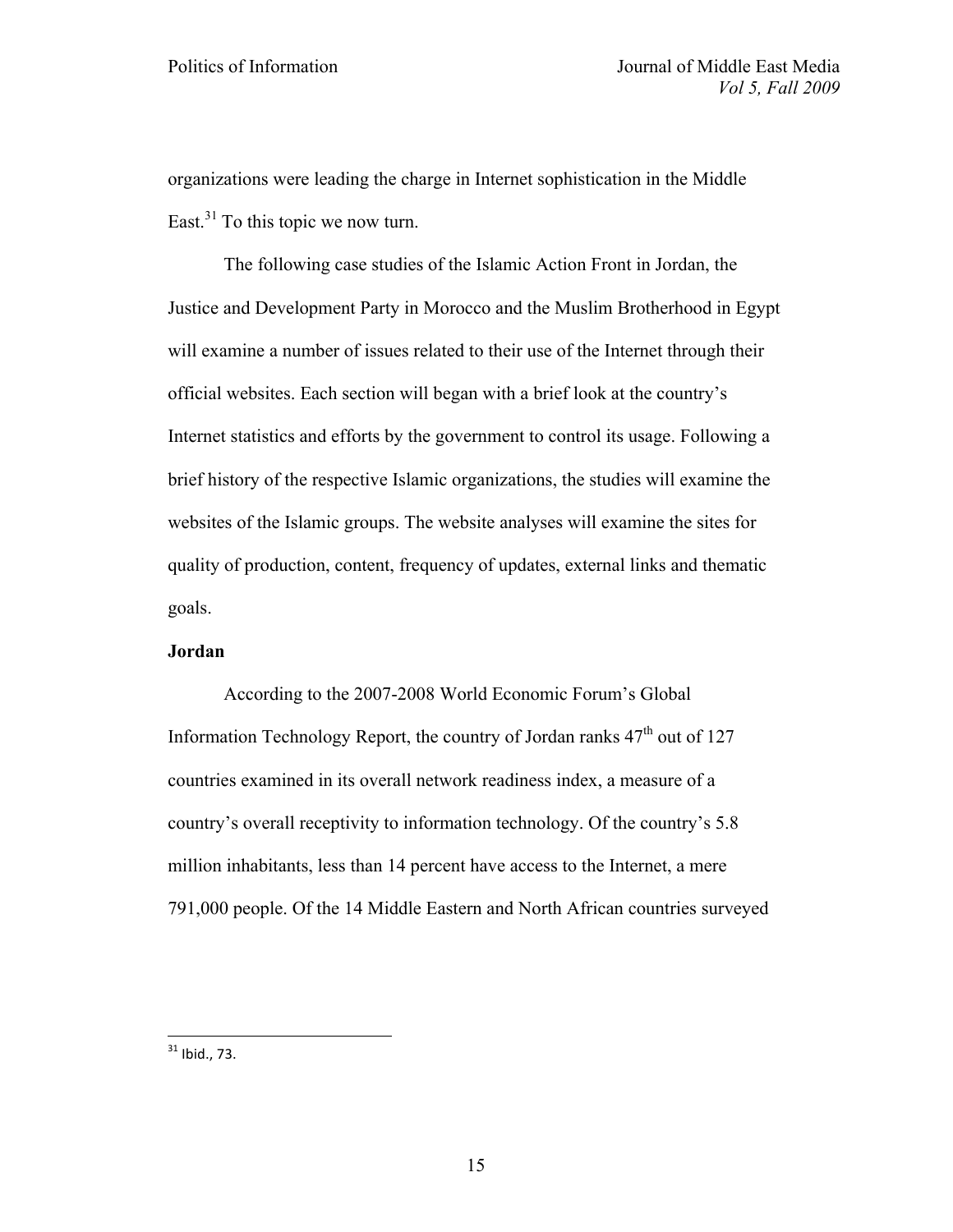organizations were leading the charge in Internet sophistication in the Middle East. $31$  To this topic we now turn.

The following case studies of the Islamic Action Front in Jordan, the Justice and Development Party in Morocco and the Muslim Brotherhood in Egypt will examine a number of issues related to their use of the Internet through their official websites. Each section will began with a brief look at the country's Internet statistics and efforts by the government to control its usage. Following a brief history of the respective Islamic organizations, the studies will examine the websites of the Islamic groups. The website analyses will examine the sites for quality of production, content, frequency of updates, external links and thematic goals.

# **Jordan**

According to the 2007-2008 World Economic Forum's Global Information Technology Report, the country of Jordan ranks  $47<sup>th</sup>$  out of 127 countries examined in its overall network readiness index, a measure of a country's overall receptivity to information technology. Of the country's 5.8 million inhabitants, less than 14 percent have access to the Internet, a mere 791,000 people. Of the 14 Middle Eastern and North African countries surveyed

 $31$  Ibid., 73.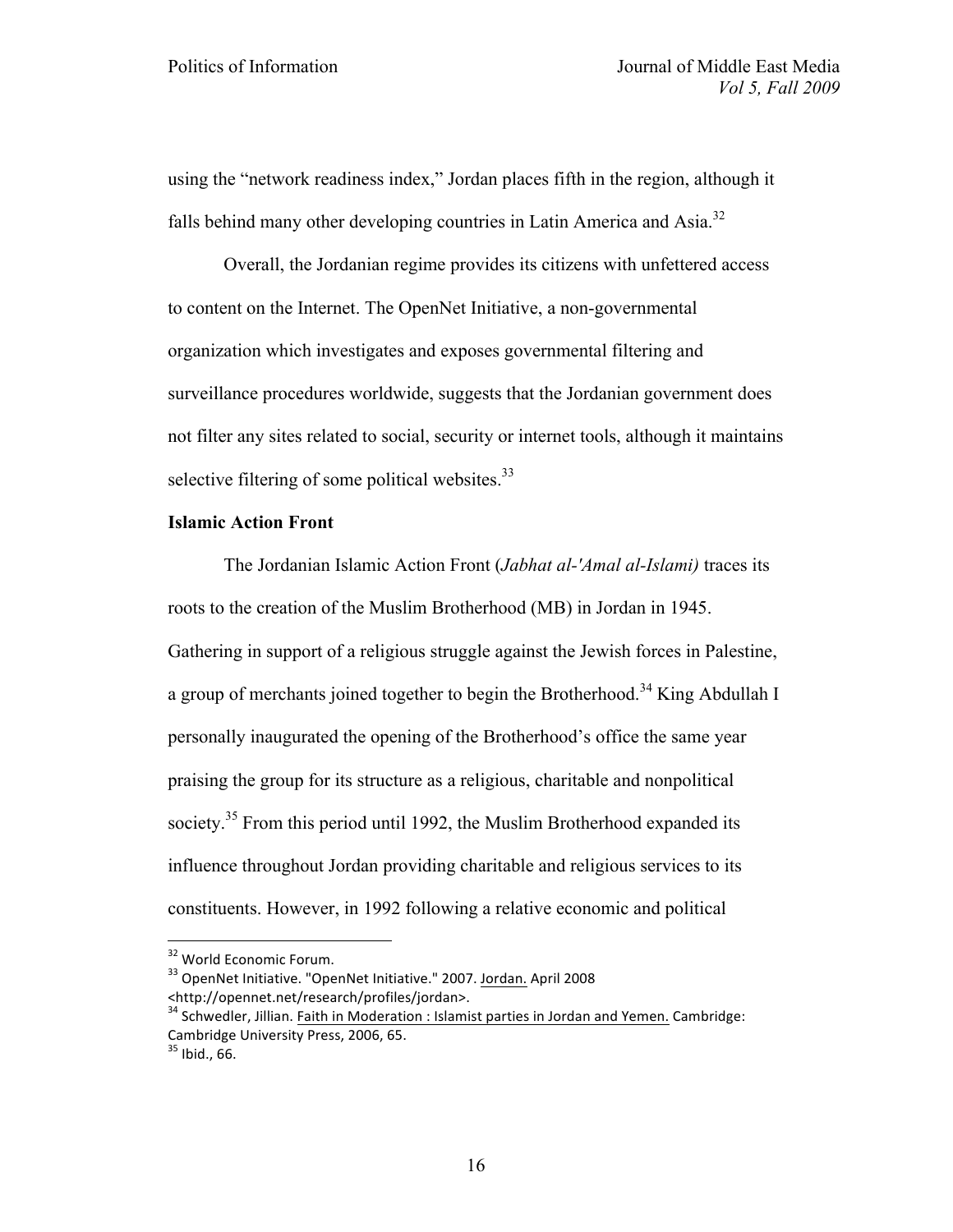using the "network readiness index," Jordan places fifth in the region, although it falls behind many other developing countries in Latin America and Asia.<sup>32</sup>

Overall, the Jordanian regime provides its citizens with unfettered access to content on the Internet. The OpenNet Initiative, a non-governmental organization which investigates and exposes governmental filtering and surveillance procedures worldwide, suggests that the Jordanian government does not filter any sites related to social, security or internet tools, although it maintains selective filtering of some political websites.<sup>33</sup>

# **Islamic Action Front**

The Jordanian Islamic Action Front (*Jabhat al-'Amal al-Islami)* traces its roots to the creation of the Muslim Brotherhood (MB) in Jordan in 1945. Gathering in support of a religious struggle against the Jewish forces in Palestine, a group of merchants joined together to begin the Brotherhood.<sup>34</sup> King Abdullah I personally inaugurated the opening of the Brotherhood's office the same year praising the group for its structure as a religious, charitable and nonpolitical society.<sup>35</sup> From this period until 1992, the Muslim Brotherhood expanded its influence throughout Jordan providing charitable and religious services to its constituents. However, in 1992 following a relative economic and political

 $32$  World Economic Forum.<br> $33$  OpenNet Initiative. "OpenNet Initiative." 2007. Jordan. April 2008 <http://opennet.net/research/profiles/jordan>.<br><sup>34</sup> Schwedler, Jillian. Faith in Moderation : Islamist parties in Jordan and Yemen. Cambridge:

Cambridge University Press, 2006, 65.<br><sup>35</sup> Ibid., 66.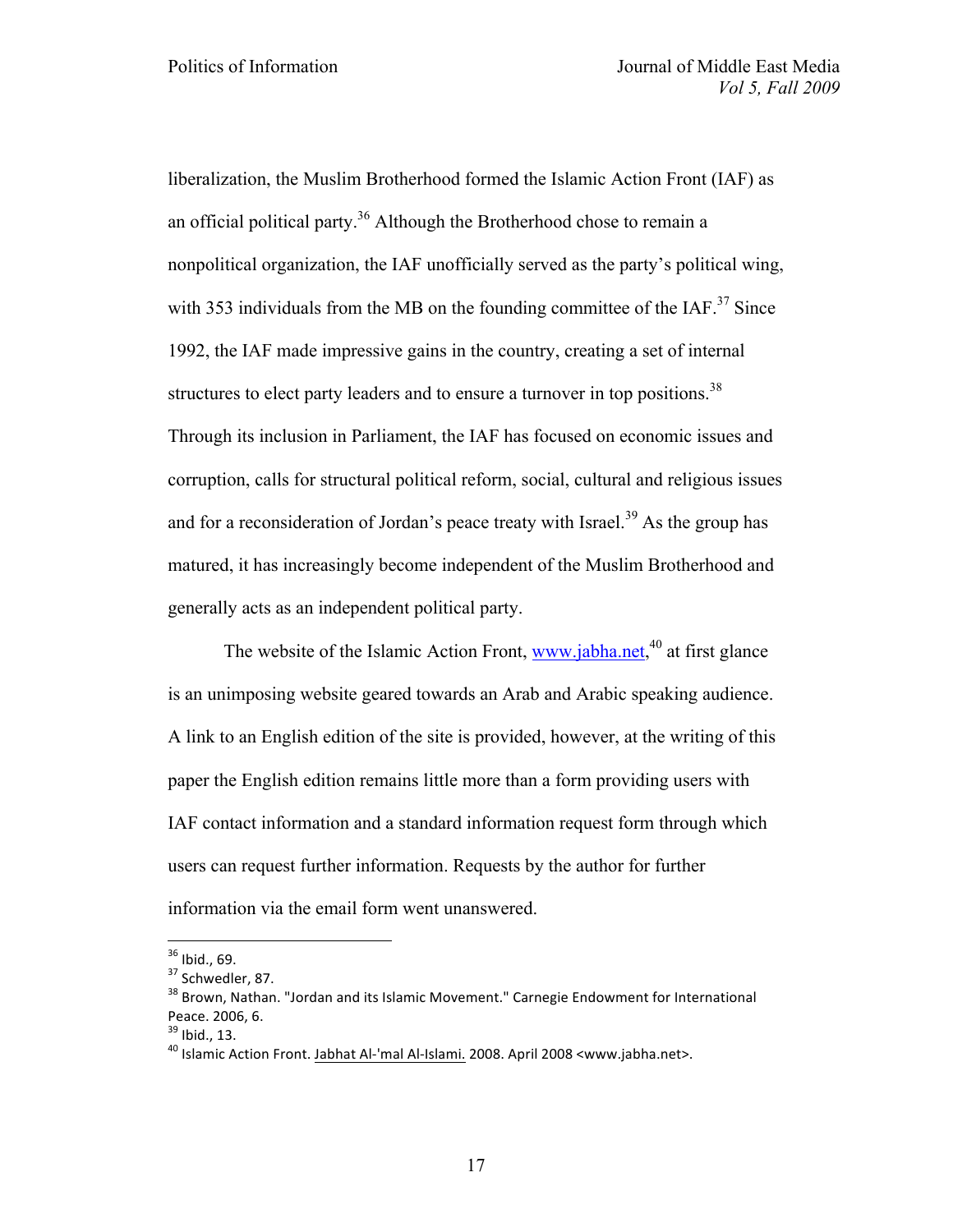liberalization, the Muslim Brotherhood formed the Islamic Action Front (IAF) as an official political party.<sup>36</sup> Although the Brotherhood chose to remain a nonpolitical organization, the IAF unofficially served as the party's political wing, with 353 individuals from the MB on the founding committee of the  $IAF<sup>37</sup>$  Since 1992, the IAF made impressive gains in the country, creating a set of internal structures to elect party leaders and to ensure a turnover in top positions.<sup>38</sup> Through its inclusion in Parliament, the IAF has focused on economic issues and corruption, calls for structural political reform, social, cultural and religious issues and for a reconsideration of Jordan's peace treaty with Israel.<sup>39</sup> As the group has matured, it has increasingly become independent of the Muslim Brotherhood and generally acts as an independent political party.

The website of the Islamic Action Front, www.jabha.net,<sup>40</sup> at first glance is an unimposing website geared towards an Arab and Arabic speaking audience. A link to an English edition of the site is provided, however, at the writing of this paper the English edition remains little more than a form providing users with IAF contact information and a standard information request form through which users can request further information. Requests by the author for further information via the email form went unanswered.

<sup>&</sup>lt;sup>36</sup> Ibid., 69.<br><sup>37</sup> Schwedler, 87.<br><sup>38</sup> Brown, Nathan. "Jordan and its Islamic Movement." Carnegie Endowment for International Peace. 2006, 6.<br><sup>39</sup> Ibid., 13.<br><sup>40</sup> Islamic Action Front. Jabhat Al-'mal Al-Islami. 2008. April 2008 <www.jabha.net>.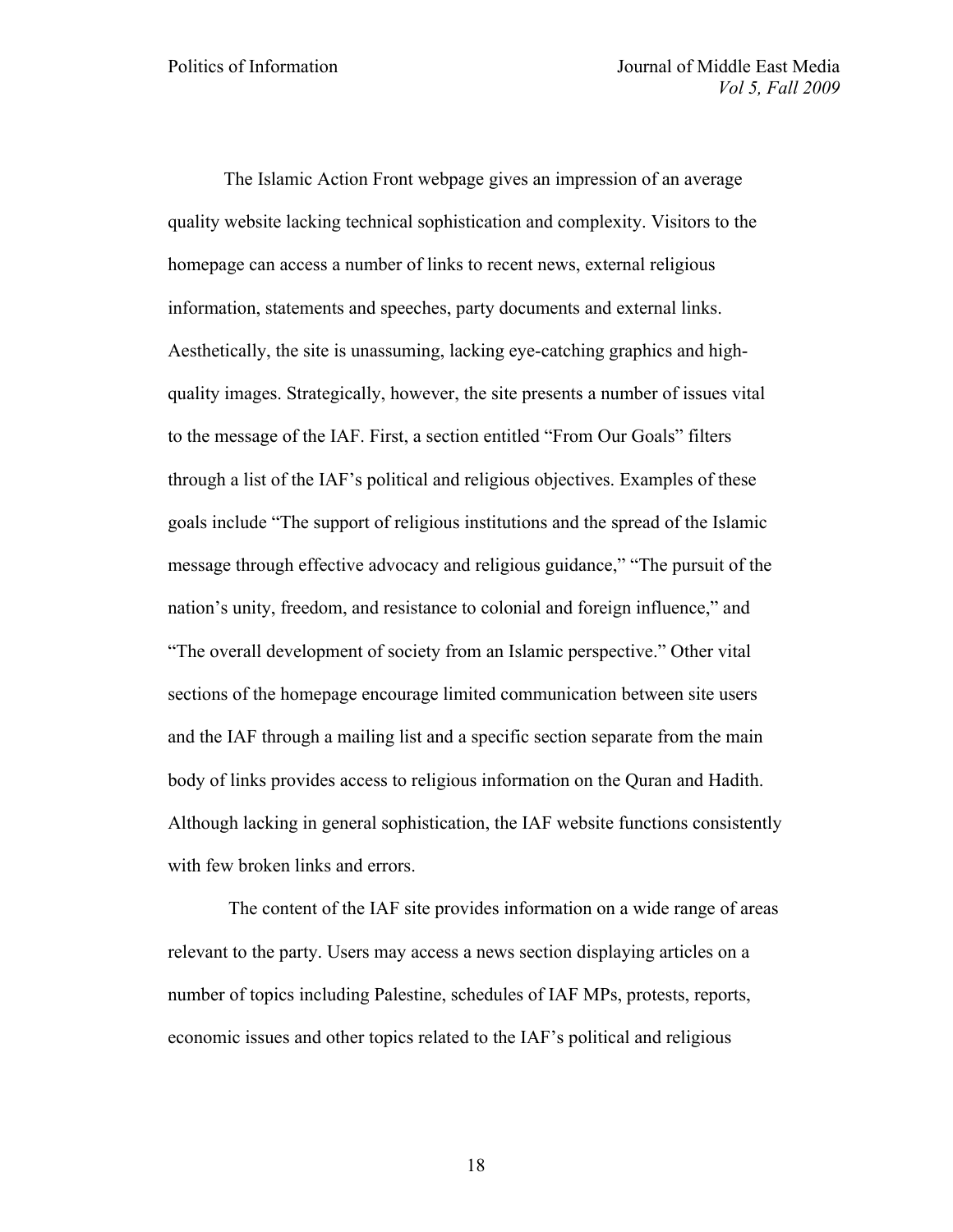The Islamic Action Front webpage gives an impression of an average quality website lacking technical sophistication and complexity. Visitors to the homepage can access a number of links to recent news, external religious information, statements and speeches, party documents and external links. Aesthetically, the site is unassuming, lacking eye-catching graphics and highquality images. Strategically, however, the site presents a number of issues vital to the message of the IAF. First, a section entitled "From Our Goals" filters through a list of the IAF's political and religious objectives. Examples of these goals include "The support of religious institutions and the spread of the Islamic message through effective advocacy and religious guidance," "The pursuit of the nation's unity, freedom, and resistance to colonial and foreign influence," and "The overall development of society from an Islamic perspective." Other vital sections of the homepage encourage limited communication between site users and the IAF through a mailing list and a specific section separate from the main body of links provides access to religious information on the Quran and Hadith. Although lacking in general sophistication, the IAF website functions consistently with few broken links and errors.

The content of the IAF site provides information on a wide range of areas relevant to the party. Users may access a news section displaying articles on a number of topics including Palestine, schedules of IAF MPs, protests, reports, economic issues and other topics related to the IAF's political and religious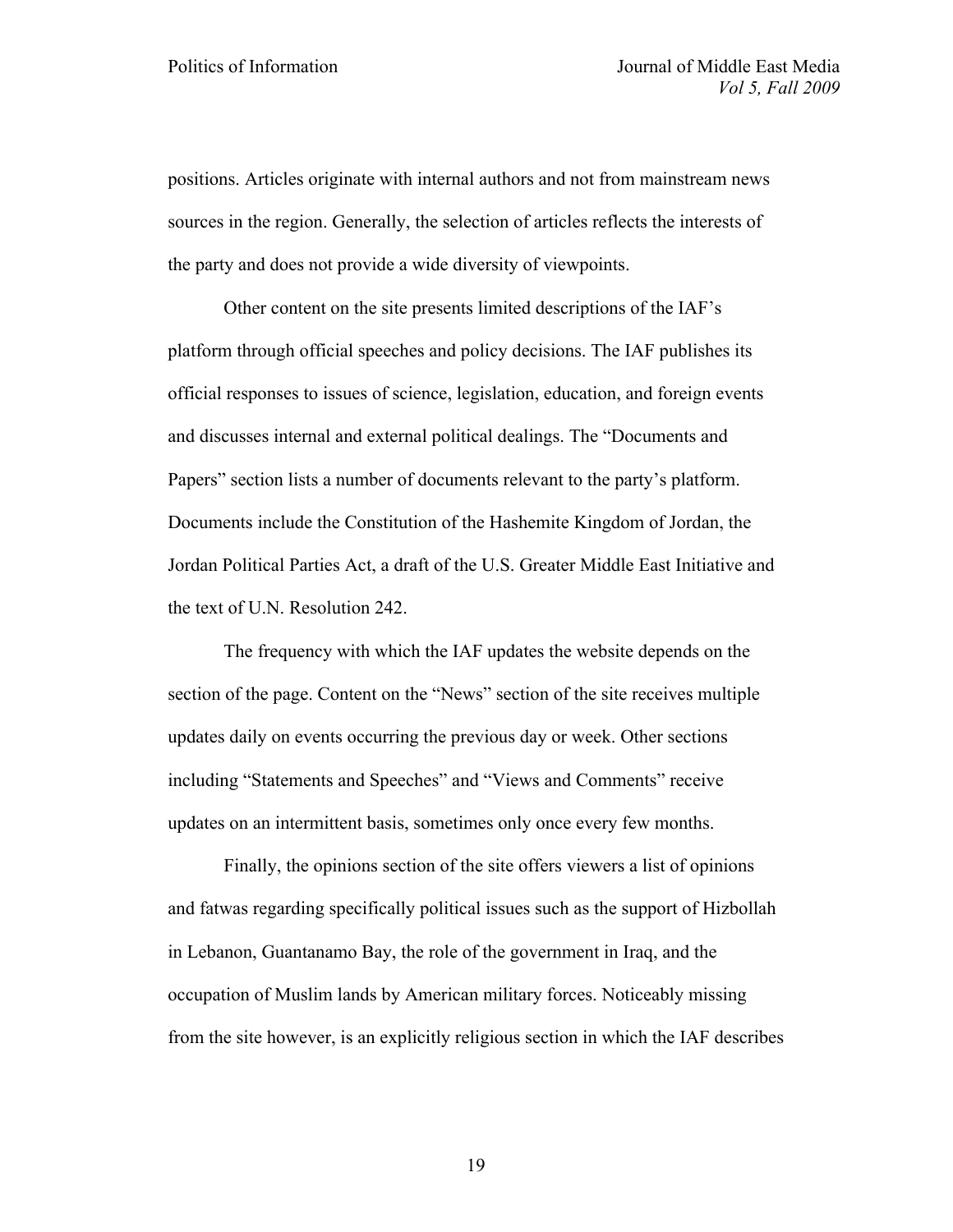positions. Articles originate with internal authors and not from mainstream news sources in the region. Generally, the selection of articles reflects the interests of the party and does not provide a wide diversity of viewpoints.

Other content on the site presents limited descriptions of the IAF's platform through official speeches and policy decisions. The IAF publishes its official responses to issues of science, legislation, education, and foreign events and discusses internal and external political dealings. The "Documents and Papers" section lists a number of documents relevant to the party's platform. Documents include the Constitution of the Hashemite Kingdom of Jordan, the Jordan Political Parties Act, a draft of the U.S. Greater Middle East Initiative and the text of U.N. Resolution 242.

The frequency with which the IAF updates the website depends on the section of the page. Content on the "News" section of the site receives multiple updates daily on events occurring the previous day or week. Other sections including "Statements and Speeches" and "Views and Comments" receive updates on an intermittent basis, sometimes only once every few months.

Finally, the opinions section of the site offers viewers a list of opinions and fatwas regarding specifically political issues such as the support of Hizbollah in Lebanon, Guantanamo Bay, the role of the government in Iraq, and the occupation of Muslim lands by American military forces. Noticeably missing from the site however, is an explicitly religious section in which the IAF describes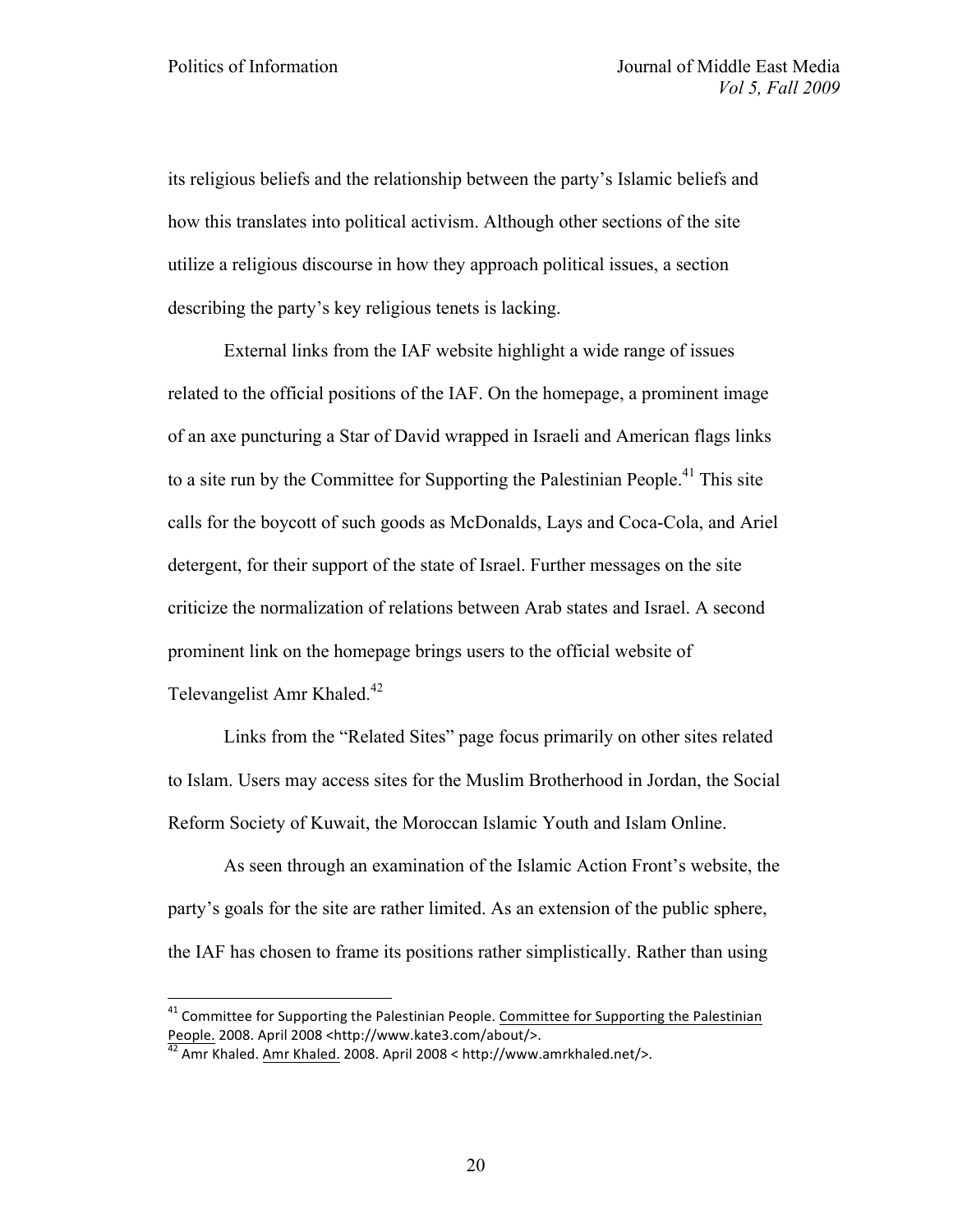its religious beliefs and the relationship between the party's Islamic beliefs and how this translates into political activism. Although other sections of the site utilize a religious discourse in how they approach political issues, a section describing the party's key religious tenets is lacking.

External links from the IAF website highlight a wide range of issues related to the official positions of the IAF. On the homepage, a prominent image of an axe puncturing a Star of David wrapped in Israeli and American flags links to a site run by the Committee for Supporting the Palestinian People.<sup>41</sup> This site calls for the boycott of such goods as McDonalds, Lays and Coca-Cola, and Ariel detergent, for their support of the state of Israel. Further messages on the site criticize the normalization of relations between Arab states and Israel. A second prominent link on the homepage brings users to the official website of Televangelist Amr Khaled.<sup>42</sup>

Links from the "Related Sites" page focus primarily on other sites related to Islam. Users may access sites for the Muslim Brotherhood in Jordan, the Social Reform Society of Kuwait, the Moroccan Islamic Youth and Islam Online.

As seen through an examination of the Islamic Action Front's website, the party's goals for the site are rather limited. As an extension of the public sphere, the IAF has chosen to frame its positions rather simplistically. Rather than using

 $41$  Committee for Supporting the Palestinian People. Committee for Supporting the Palestinian People. 2008. April 2008 <http://www.kate3.com/about/>.<br><sup>42</sup> Amr Khaled. Amr Khaled. 2008. April 2008 < http://www.amrkhaled.net/>.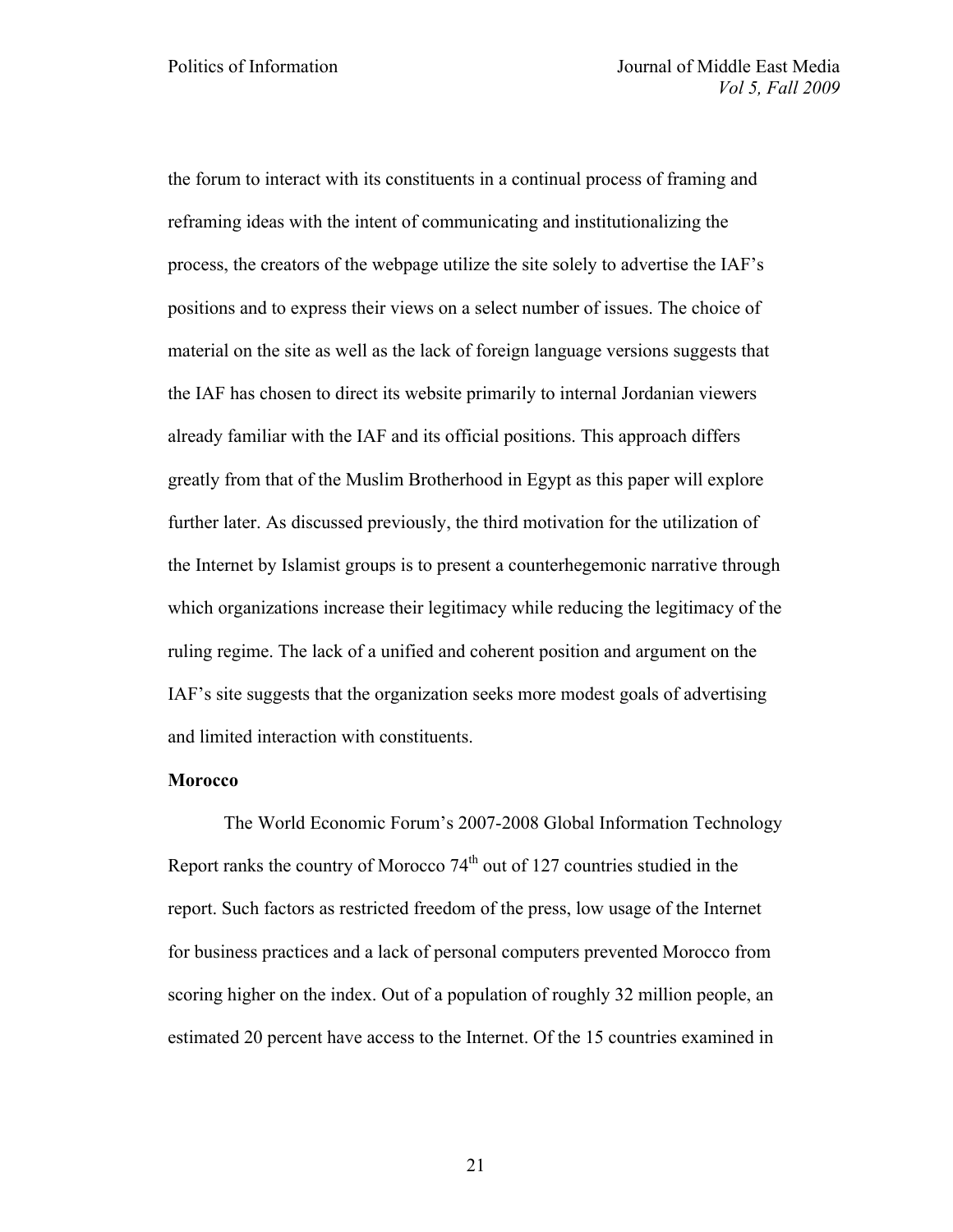the forum to interact with its constituents in a continual process of framing and reframing ideas with the intent of communicating and institutionalizing the process, the creators of the webpage utilize the site solely to advertise the IAF's positions and to express their views on a select number of issues. The choice of material on the site as well as the lack of foreign language versions suggests that the IAF has chosen to direct its website primarily to internal Jordanian viewers already familiar with the IAF and its official positions. This approach differs greatly from that of the Muslim Brotherhood in Egypt as this paper will explore further later. As discussed previously, the third motivation for the utilization of the Internet by Islamist groups is to present a counterhegemonic narrative through which organizations increase their legitimacy while reducing the legitimacy of the ruling regime. The lack of a unified and coherent position and argument on the IAF's site suggests that the organization seeks more modest goals of advertising and limited interaction with constituents.

### **Morocco**

The World Economic Forum's 2007-2008 Global Information Technology Report ranks the country of Morocco  $74<sup>th</sup>$  out of 127 countries studied in the report. Such factors as restricted freedom of the press, low usage of the Internet for business practices and a lack of personal computers prevented Morocco from scoring higher on the index. Out of a population of roughly 32 million people, an estimated 20 percent have access to the Internet. Of the 15 countries examined in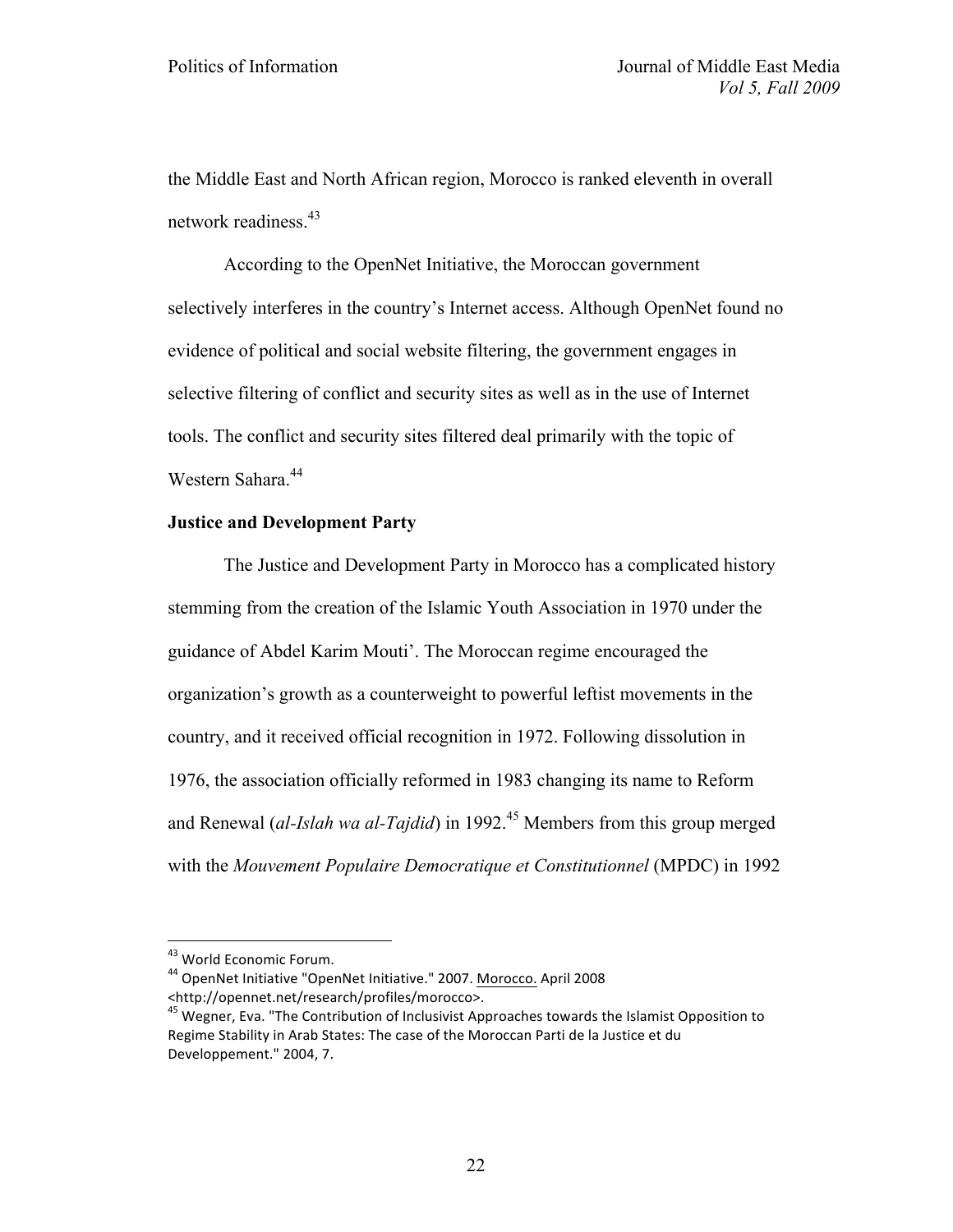the Middle East and North African region, Morocco is ranked eleventh in overall network readiness.<sup>43</sup>

According to the OpenNet Initiative, the Moroccan government selectively interferes in the country's Internet access. Although OpenNet found no evidence of political and social website filtering, the government engages in selective filtering of conflict and security sites as well as in the use of Internet tools. The conflict and security sites filtered deal primarily with the topic of Western Sahara.<sup>44</sup>

# **Justice and Development Party**

The Justice and Development Party in Morocco has a complicated history stemming from the creation of the Islamic Youth Association in 1970 under the guidance of Abdel Karim Mouti'. The Moroccan regime encouraged the organization's growth as a counterweight to powerful leftist movements in the country, and it received official recognition in 1972. Following dissolution in 1976, the association officially reformed in 1983 changing its name to Reform and Renewal *(al-Islah wa al-Tajdid)* in 1992.<sup>45</sup> Members from this group merged with the *Mouvement Populaire Democratique et Constitutionnel* (MPDC) in 1992

<sup>&</sup>lt;sup>43</sup> World Economic Forum.<br><sup>44</sup> OpenNet Initiative "OpenNet Initiative." 2007. Morocco. April 2008 <http://opennet.net/research/profiles/morocco>.

 $45$  Wegner, Eva. "The Contribution of Inclusivist Approaches towards the Islamist Opposition to Regime Stability in Arab States: The case of the Moroccan Parti de la Justice et du Developpement." 2004, 7.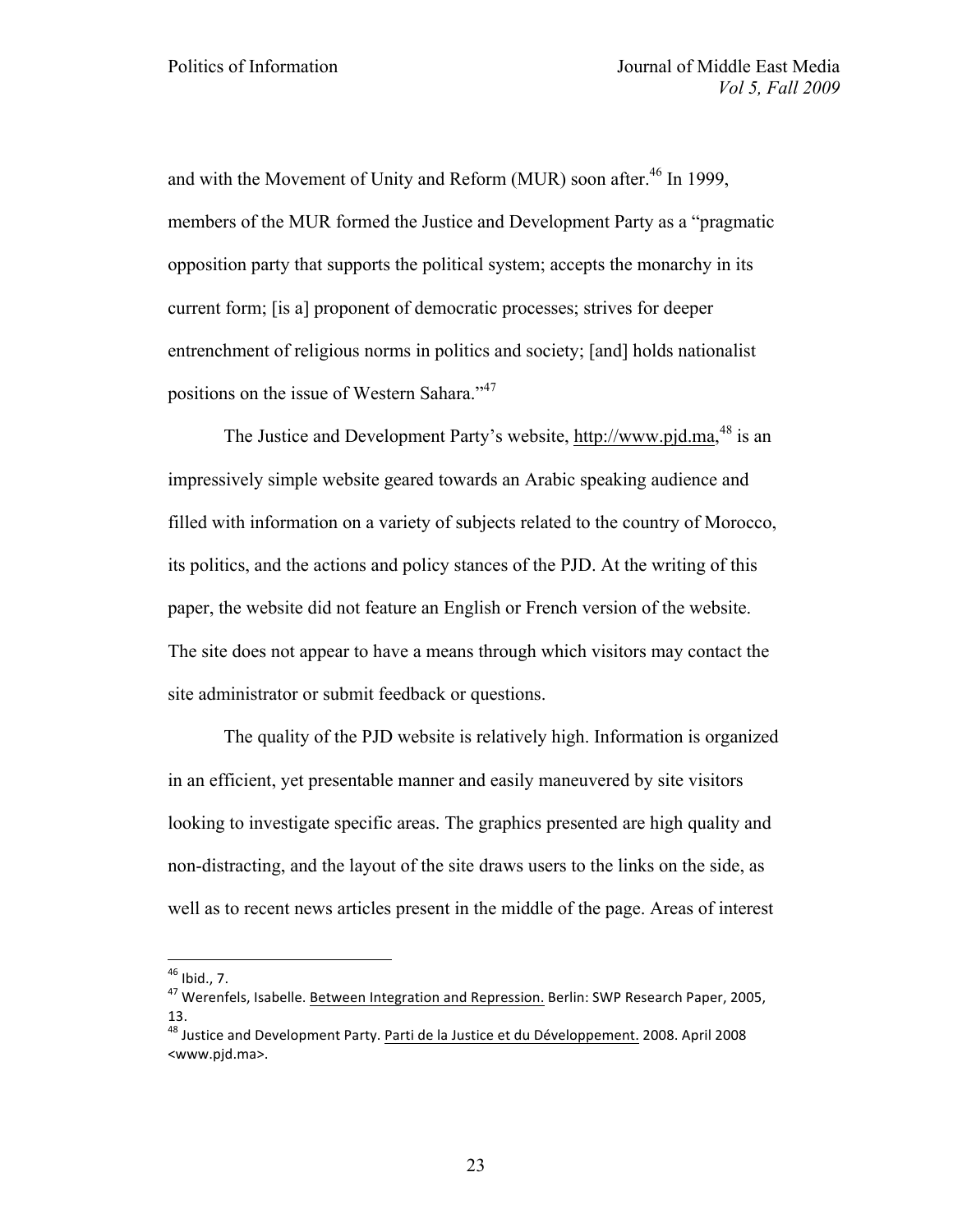and with the Movement of Unity and Reform (MUR) soon after.<sup>46</sup> In 1999, members of the MUR formed the Justice and Development Party as a "pragmatic opposition party that supports the political system; accepts the monarchy in its current form; [is a] proponent of democratic processes; strives for deeper entrenchment of religious norms in politics and society; [and] holds nationalist positions on the issue of Western Sahara."<sup>47</sup>

The Justice and Development Party's website, http://www.pjd.ma,<sup>48</sup> is an impressively simple website geared towards an Arabic speaking audience and filled with information on a variety of subjects related to the country of Morocco, its politics, and the actions and policy stances of the PJD. At the writing of this paper, the website did not feature an English or French version of the website. The site does not appear to have a means through which visitors may contact the site administrator or submit feedback or questions.

The quality of the PJD website is relatively high. Information is organized in an efficient, yet presentable manner and easily maneuvered by site visitors looking to investigate specific areas. The graphics presented are high quality and non-distracting, and the layout of the site draws users to the links on the side, as well as to recent news articles present in the middle of the page. Areas of interest

<sup>&</sup>lt;sup>46</sup> Ibid., 7.<br><sup>47</sup> Werenfels, Isabelle. Between Integration and Repression. Berlin: SWP Research Paper, 2005, 13.

 $48$  Justice and Development Party. Parti de la Justice et du Développement. 2008. April 2008 <www.pjd.ma>.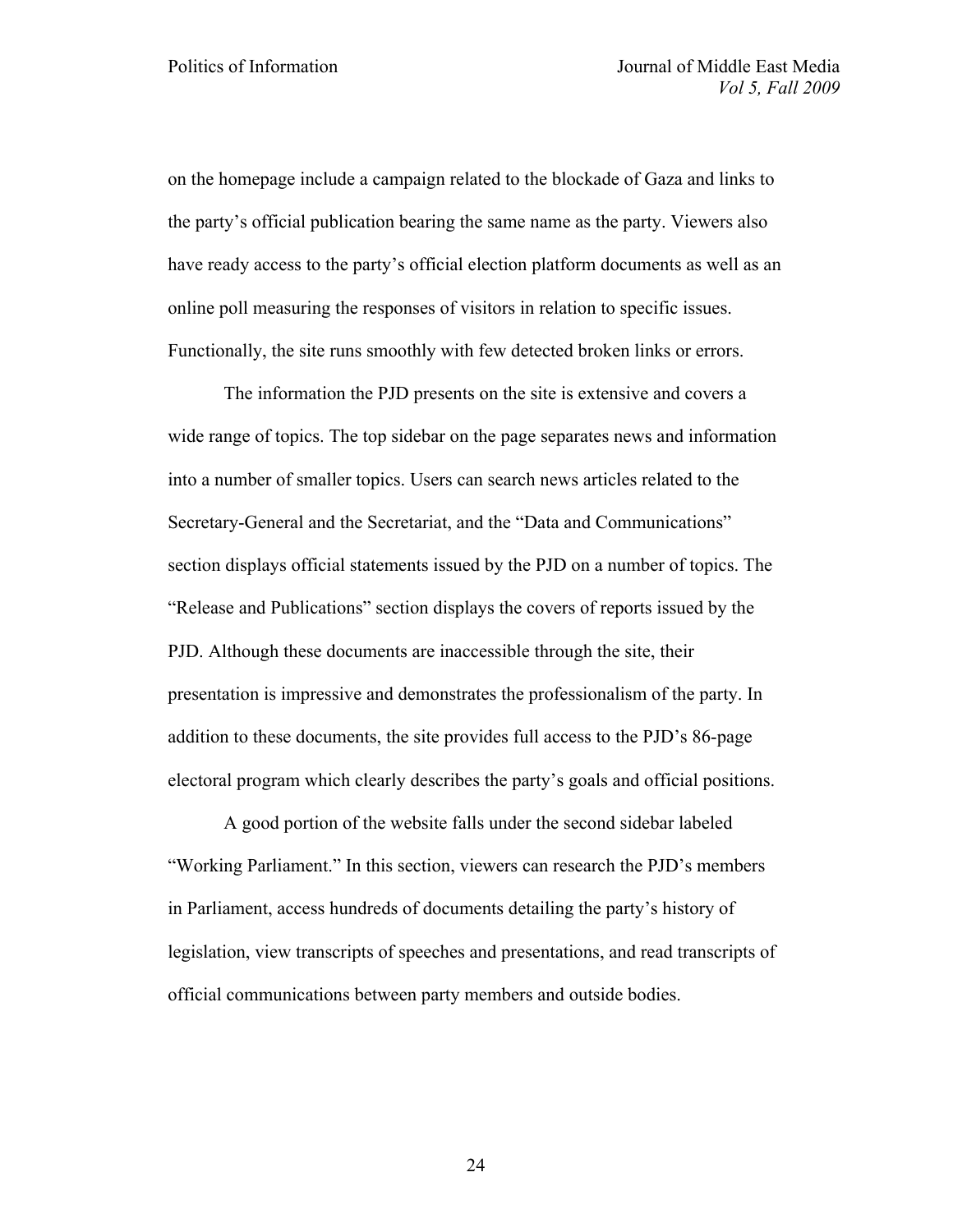on the homepage include a campaign related to the blockade of Gaza and links to the party's official publication bearing the same name as the party. Viewers also have ready access to the party's official election platform documents as well as an online poll measuring the responses of visitors in relation to specific issues. Functionally, the site runs smoothly with few detected broken links or errors.

The information the PJD presents on the site is extensive and covers a wide range of topics. The top sidebar on the page separates news and information into a number of smaller topics. Users can search news articles related to the Secretary-General and the Secretariat, and the "Data and Communications" section displays official statements issued by the PJD on a number of topics. The "Release and Publications" section displays the covers of reports issued by the PJD. Although these documents are inaccessible through the site, their presentation is impressive and demonstrates the professionalism of the party. In addition to these documents, the site provides full access to the PJD's 86-page electoral program which clearly describes the party's goals and official positions.

A good portion of the website falls under the second sidebar labeled "Working Parliament." In this section, viewers can research the PJD's members in Parliament, access hundreds of documents detailing the party's history of legislation, view transcripts of speeches and presentations, and read transcripts of official communications between party members and outside bodies.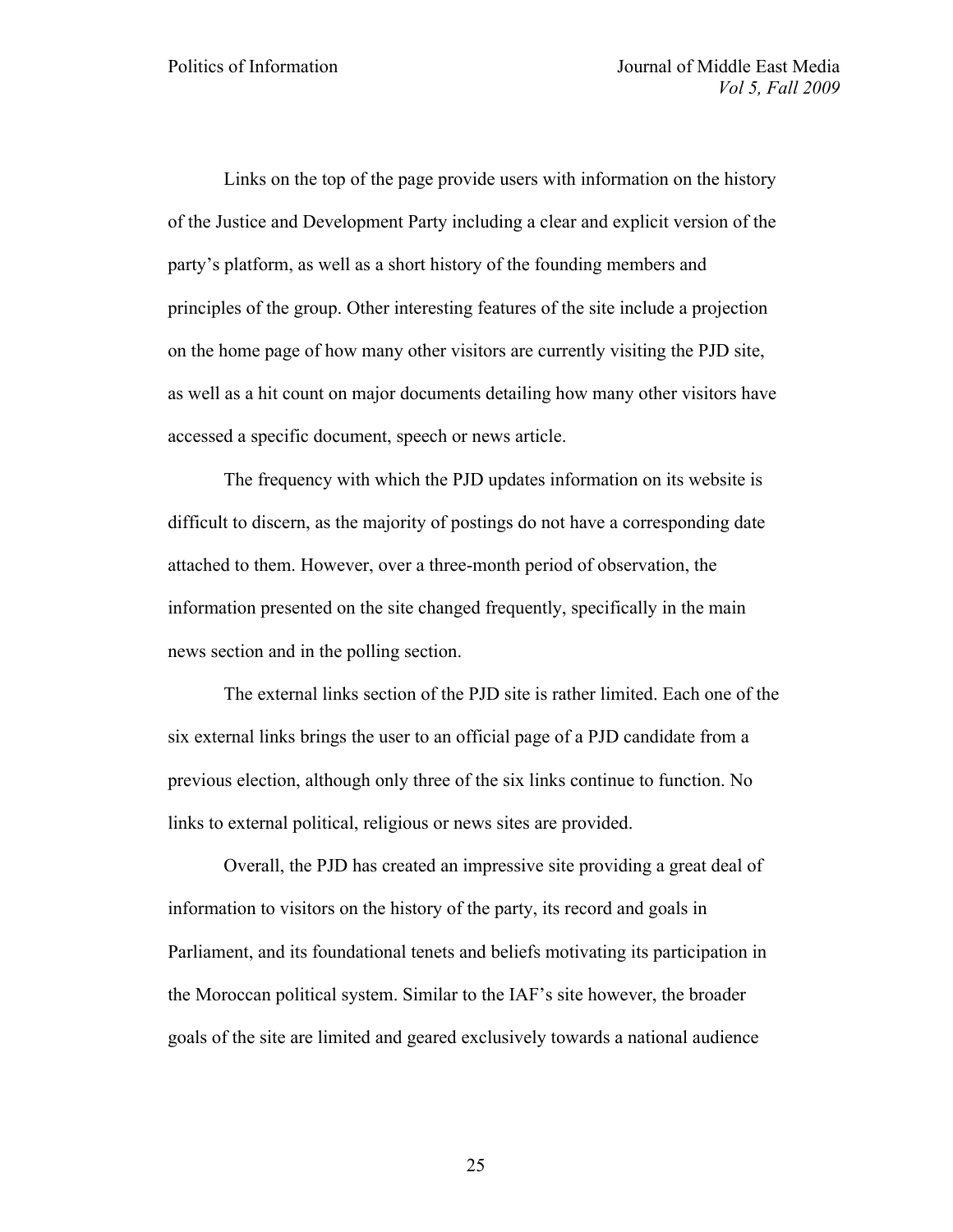Links on the top of the page provide users with information on the history of the Justice and Development Party including a clear and explicit version of the party's platform, as well as a short history of the founding members and principles of the group. Other interesting features of the site include a projection on the home page of how many other visitors are currently visiting the PJD site, as well as a hit count on major documents detailing how many other visitors have accessed a specific document, speech or news article.

The frequency with which the PJD updates information on its website is difficult to discern, as the majority of postings do not have a corresponding date attached to them. However, over a three-month period of observation, the information presented on the site changed frequently, specifically in the main news section and in the polling section.

The external links section of the PJD site is rather limited. Each one of the six external links brings the user to an official page of a PJD candidate from a previous election, although only three of the six links continue to function. No links to external political, religious or news sites are provided.

Overall, the PJD has created an impressive site providing a great deal of information to visitors on the history of the party, its record and goals in Parliament, and its foundational tenets and beliefs motivating its participation in the Moroccan political system. Similar to the IAF's site however, the broader goals of the site are limited and geared exclusively towards a national audience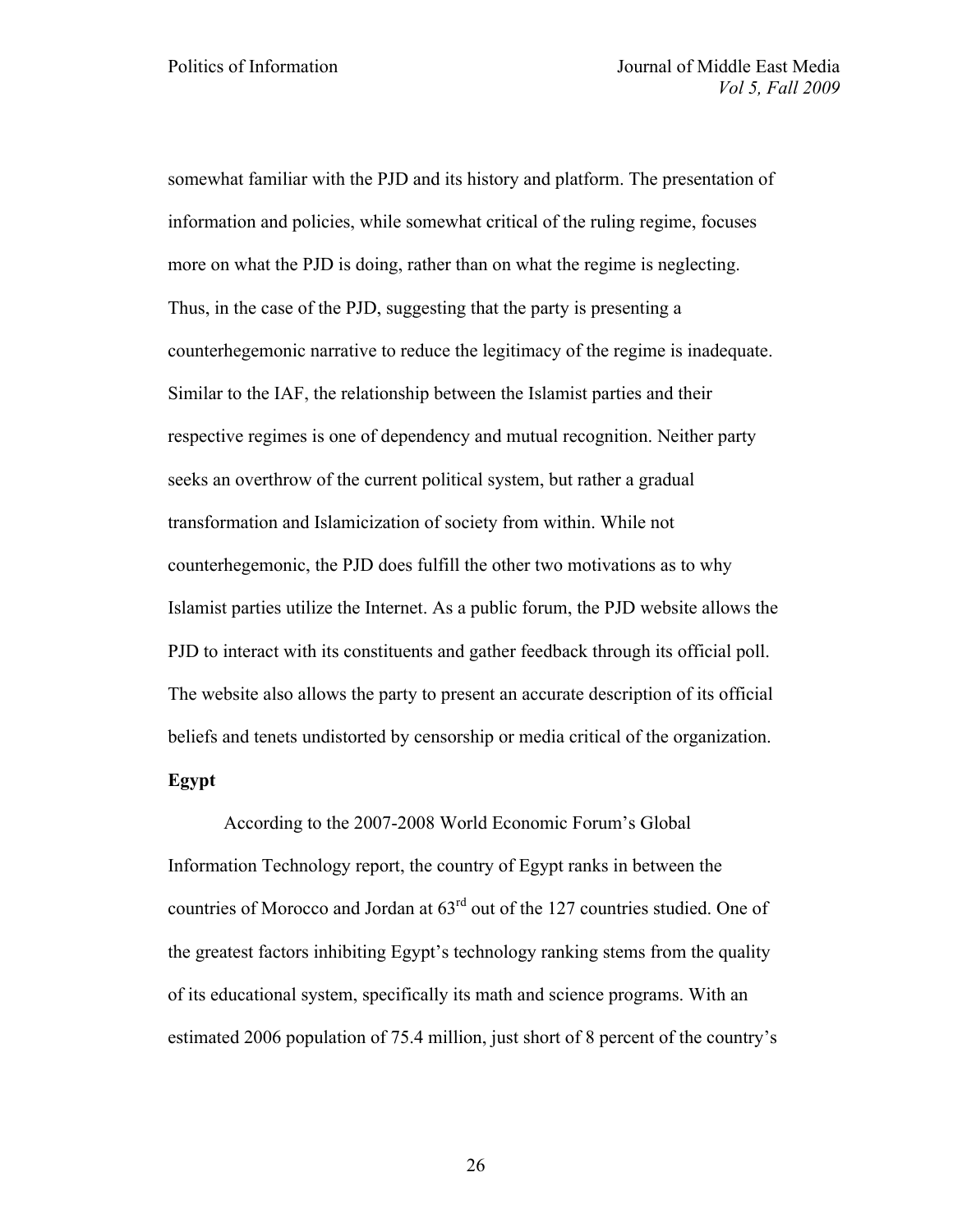somewhat familiar with the PJD and its history and platform. The presentation of information and policies, while somewhat critical of the ruling regime, focuses more on what the PJD is doing, rather than on what the regime is neglecting. Thus, in the case of the PJD, suggesting that the party is presenting a counterhegemonic narrative to reduce the legitimacy of the regime is inadequate. Similar to the IAF, the relationship between the Islamist parties and their respective regimes is one of dependency and mutual recognition. Neither party seeks an overthrow of the current political system, but rather a gradual transformation and Islamicization of society from within. While not counterhegemonic, the PJD does fulfill the other two motivations as to why Islamist parties utilize the Internet. As a public forum, the PJD website allows the PJD to interact with its constituents and gather feedback through its official poll. The website also allows the party to present an accurate description of its official beliefs and tenets undistorted by censorship or media critical of the organization.

# **Egypt**

According to the 2007-2008 World Economic Forum's Global Information Technology report, the country of Egypt ranks in between the countries of Morocco and Jordan at 63rd out of the 127 countries studied. One of the greatest factors inhibiting Egypt's technology ranking stems from the quality of its educational system, specifically its math and science programs. With an estimated 2006 population of 75.4 million, just short of 8 percent of the country's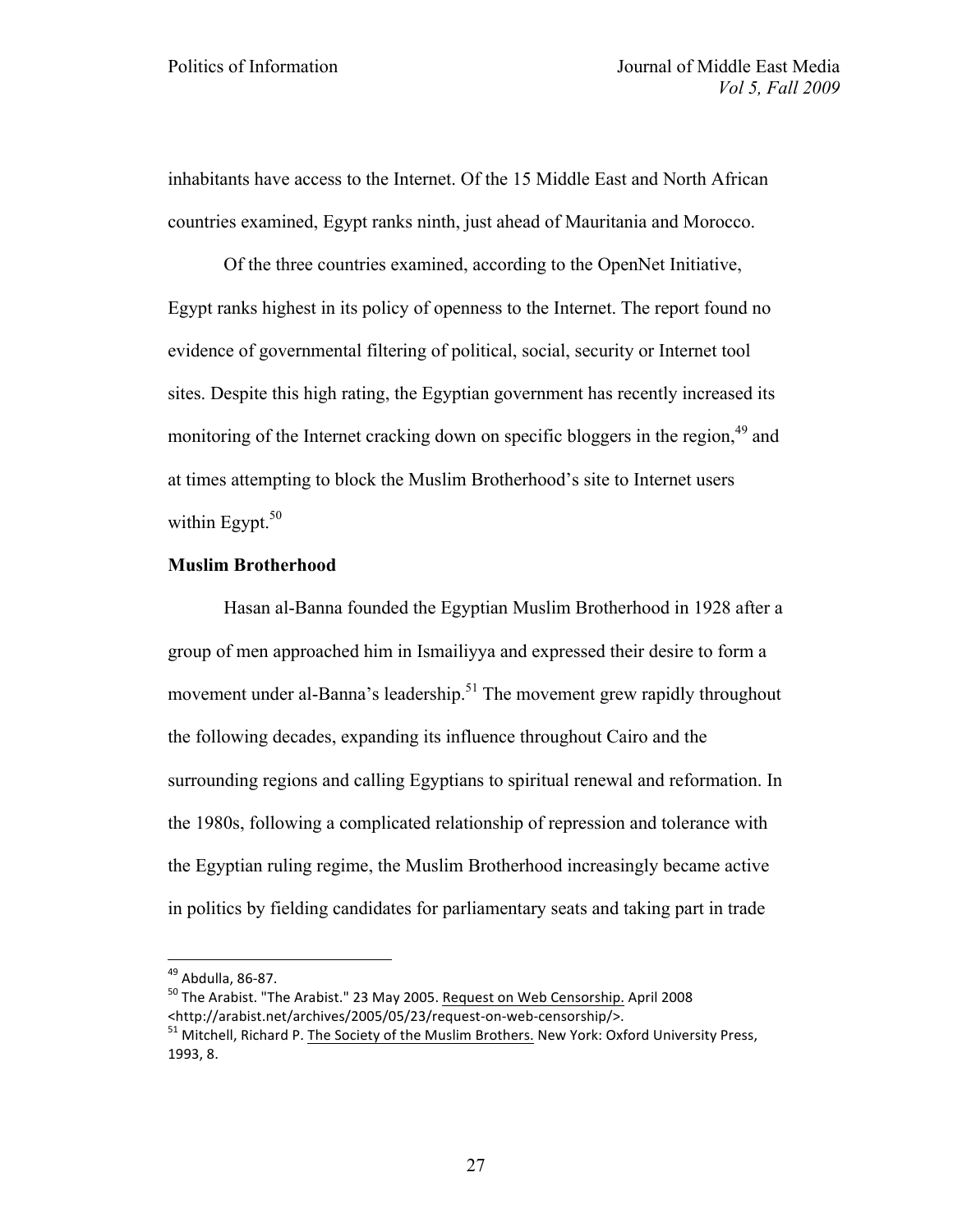inhabitants have access to the Internet. Of the 15 Middle East and North African countries examined, Egypt ranks ninth, just ahead of Mauritania and Morocco.

Of the three countries examined, according to the OpenNet Initiative, Egypt ranks highest in its policy of openness to the Internet. The report found no evidence of governmental filtering of political, social, security or Internet tool sites. Despite this high rating, the Egyptian government has recently increased its monitoring of the Internet cracking down on specific bloggers in the region,<sup>49</sup> and at times attempting to block the Muslim Brotherhood's site to Internet users within Egypt. $50$ 

# **Muslim Brotherhood**

Hasan al-Banna founded the Egyptian Muslim Brotherhood in 1928 after a group of men approached him in Ismailiyya and expressed their desire to form a movement under al-Banna's leadership.<sup>51</sup> The movement grew rapidly throughout the following decades, expanding its influence throughout Cairo and the surrounding regions and calling Egyptians to spiritual renewal and reformation. In the 1980s, following a complicated relationship of repression and tolerance with the Egyptian ruling regime, the Muslim Brotherhood increasingly became active in politics by fielding candidates for parliamentary seats and taking part in trade

<sup>&</sup>lt;sup>49</sup> Abdulla, 86-87.<br><sup>50</sup> The Arabist. "The Arabist." 23 May 2005. <u>Request on Web Censorship.</u> April 2008<br><http://arabist.net/archives/2005/05/23/request-on-web-censorship/>.

 $51$  Mitchell, Richard P. The Society of the Muslim Brothers. New York: Oxford University Press, 1993, 8.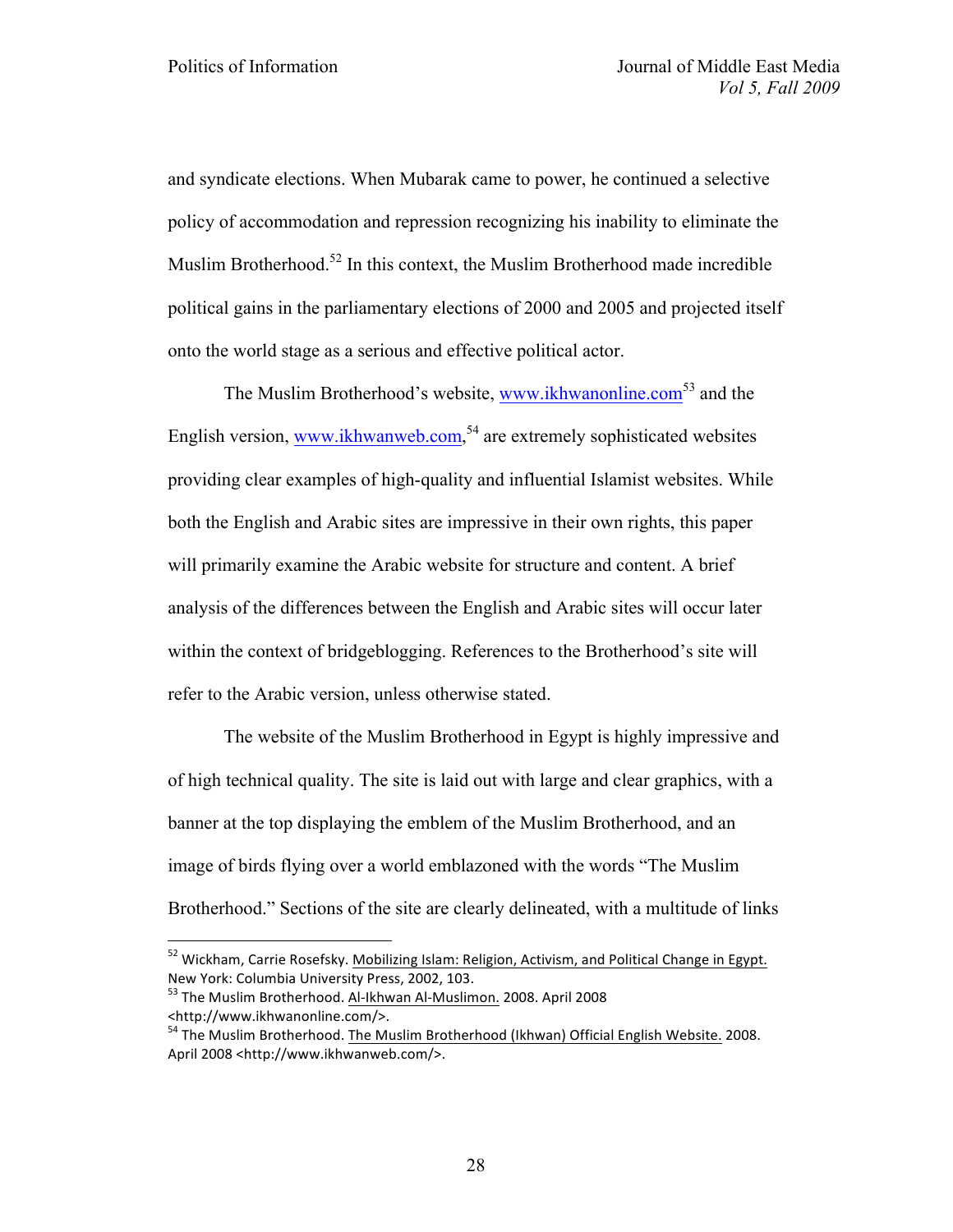and syndicate elections. When Mubarak came to power, he continued a selective policy of accommodation and repression recognizing his inability to eliminate the Muslim Brotherhood.<sup>52</sup> In this context, the Muslim Brotherhood made incredible political gains in the parliamentary elections of 2000 and 2005 and projected itself onto the world stage as a serious and effective political actor.

The Muslim Brotherhood's website, www.ikhwanonline.com<sup>53</sup> and the English version, www.ikhwanweb.com,<sup>54</sup> are extremely sophisticated websites providing clear examples of high-quality and influential Islamist websites. While both the English and Arabic sites are impressive in their own rights, this paper will primarily examine the Arabic website for structure and content. A brief analysis of the differences between the English and Arabic sites will occur later within the context of bridgeblogging. References to the Brotherhood's site will refer to the Arabic version, unless otherwise stated.

The website of the Muslim Brotherhood in Egypt is highly impressive and of high technical quality. The site is laid out with large and clear graphics, with a banner at the top displaying the emblem of the Muslim Brotherhood, and an image of birds flying over a world emblazoned with the words "The Muslim Brotherhood." Sections of the site are clearly delineated, with a multitude of links

 $52$  Wickham, Carrie Rosefsky. Mobilizing Islam: Religion, Activism, and Political Change in Egypt. New York: Columbia University Press, 2002, 103.<br><sup>53</sup> The Muslim Brotherhood. Al-Ikhwan Al-Muslimon. 2008. April 2008

<sup>&</sup>lt;http://www.ikhwanonline.com/>.

<sup>&</sup>lt;sup>54</sup> The Muslim Brotherhood. The Muslim Brotherhood (Ikhwan) Official English Website. 2008. April 2008 <http://www.ikhwanweb.com/>.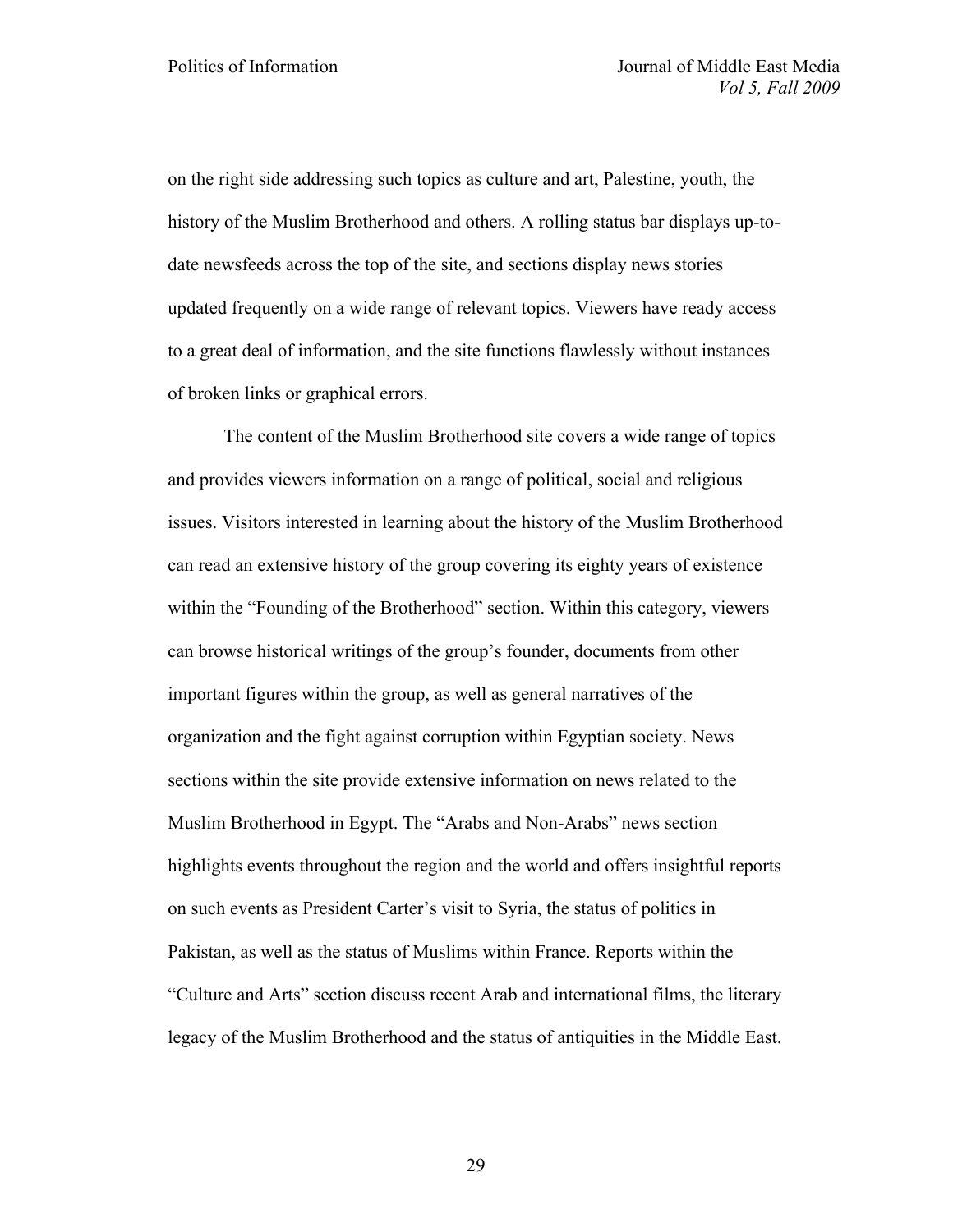on the right side addressing such topics as culture and art, Palestine, youth, the history of the Muslim Brotherhood and others. A rolling status bar displays up-todate newsfeeds across the top of the site, and sections display news stories updated frequently on a wide range of relevant topics. Viewers have ready access to a great deal of information, and the site functions flawlessly without instances of broken links or graphical errors.

The content of the Muslim Brotherhood site covers a wide range of topics and provides viewers information on a range of political, social and religious issues. Visitors interested in learning about the history of the Muslim Brotherhood can read an extensive history of the group covering its eighty years of existence within the "Founding of the Brotherhood" section. Within this category, viewers can browse historical writings of the group's founder, documents from other important figures within the group, as well as general narratives of the organization and the fight against corruption within Egyptian society. News sections within the site provide extensive information on news related to the Muslim Brotherhood in Egypt. The "Arabs and Non-Arabs" news section highlights events throughout the region and the world and offers insightful reports on such events as President Carter's visit to Syria, the status of politics in Pakistan, as well as the status of Muslims within France. Reports within the "Culture and Arts" section discuss recent Arab and international films, the literary legacy of the Muslim Brotherhood and the status of antiquities in the Middle East.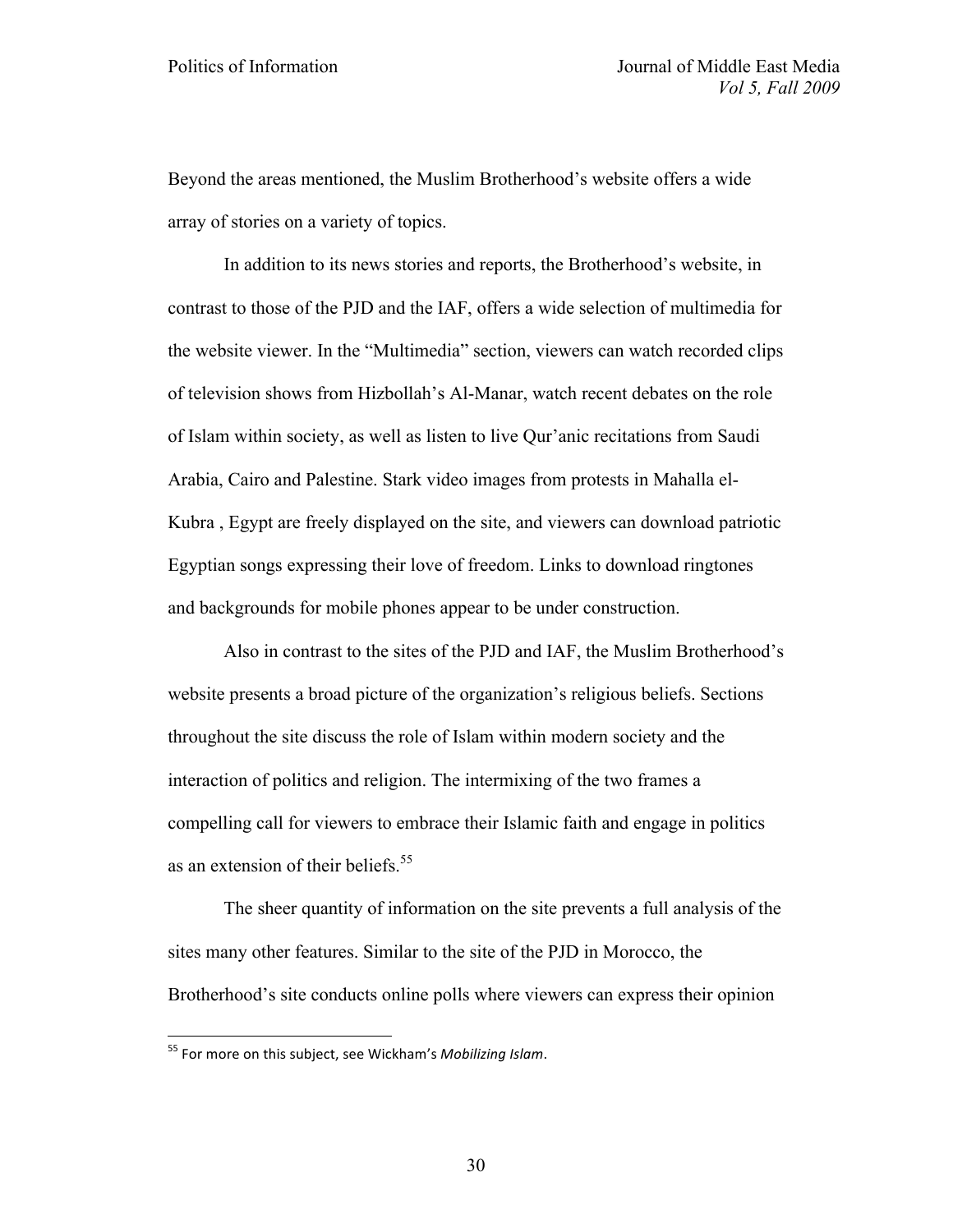Beyond the areas mentioned, the Muslim Brotherhood's website offers a wide array of stories on a variety of topics.

In addition to its news stories and reports, the Brotherhood's website, in contrast to those of the PJD and the IAF, offers a wide selection of multimedia for the website viewer. In the "Multimedia" section, viewers can watch recorded clips of television shows from Hizbollah's Al-Manar, watch recent debates on the role of Islam within society, as well as listen to live Qur'anic recitations from Saudi Arabia, Cairo and Palestine. Stark video images from protests in Mahalla el-Kubra , Egypt are freely displayed on the site, and viewers can download patriotic Egyptian songs expressing their love of freedom. Links to download ringtones and backgrounds for mobile phones appear to be under construction.

Also in contrast to the sites of the PJD and IAF, the Muslim Brotherhood's website presents a broad picture of the organization's religious beliefs. Sections throughout the site discuss the role of Islam within modern society and the interaction of politics and religion. The intermixing of the two frames a compelling call for viewers to embrace their Islamic faith and engage in politics as an extension of their beliefs.<sup>55</sup>

The sheer quantity of information on the site prevents a full analysis of the sites many other features. Similar to the site of the PJD in Morocco, the Brotherhood's site conducts online polls where viewers can express their opinion

<sup>&</sup>lt;sup>55</sup> For more on this subject, see Wickham's *Mobilizing Islam*.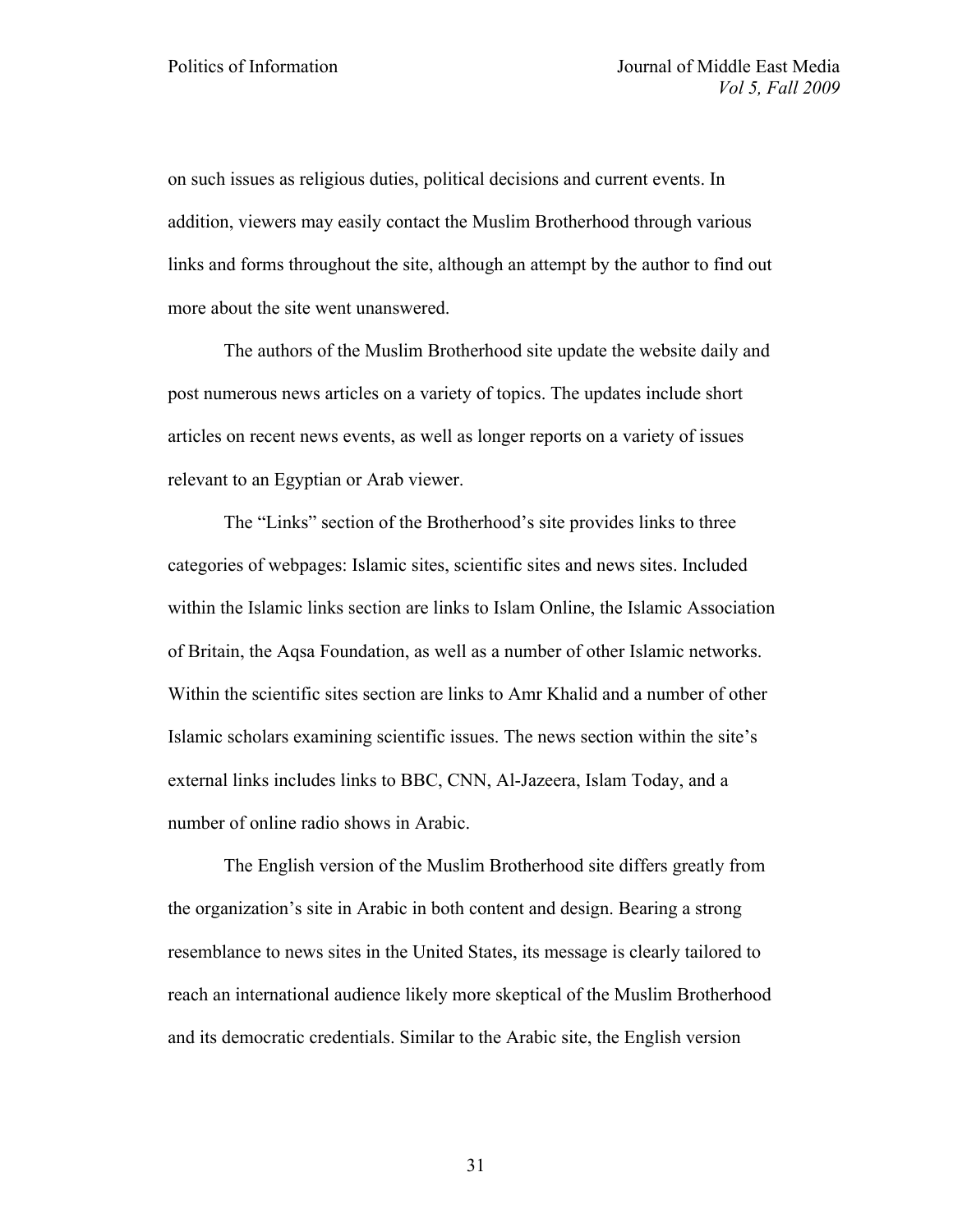on such issues as religious duties, political decisions and current events. In addition, viewers may easily contact the Muslim Brotherhood through various links and forms throughout the site, although an attempt by the author to find out more about the site went unanswered.

The authors of the Muslim Brotherhood site update the website daily and post numerous news articles on a variety of topics. The updates include short articles on recent news events, as well as longer reports on a variety of issues relevant to an Egyptian or Arab viewer.

The "Links" section of the Brotherhood's site provides links to three categories of webpages: Islamic sites, scientific sites and news sites. Included within the Islamic links section are links to Islam Online, the Islamic Association of Britain, the Aqsa Foundation, as well as a number of other Islamic networks. Within the scientific sites section are links to Amr Khalid and a number of other Islamic scholars examining scientific issues. The news section within the site's external links includes links to BBC, CNN, Al-Jazeera, Islam Today, and a number of online radio shows in Arabic.

The English version of the Muslim Brotherhood site differs greatly from the organization's site in Arabic in both content and design. Bearing a strong resemblance to news sites in the United States, its message is clearly tailored to reach an international audience likely more skeptical of the Muslim Brotherhood and its democratic credentials. Similar to the Arabic site, the English version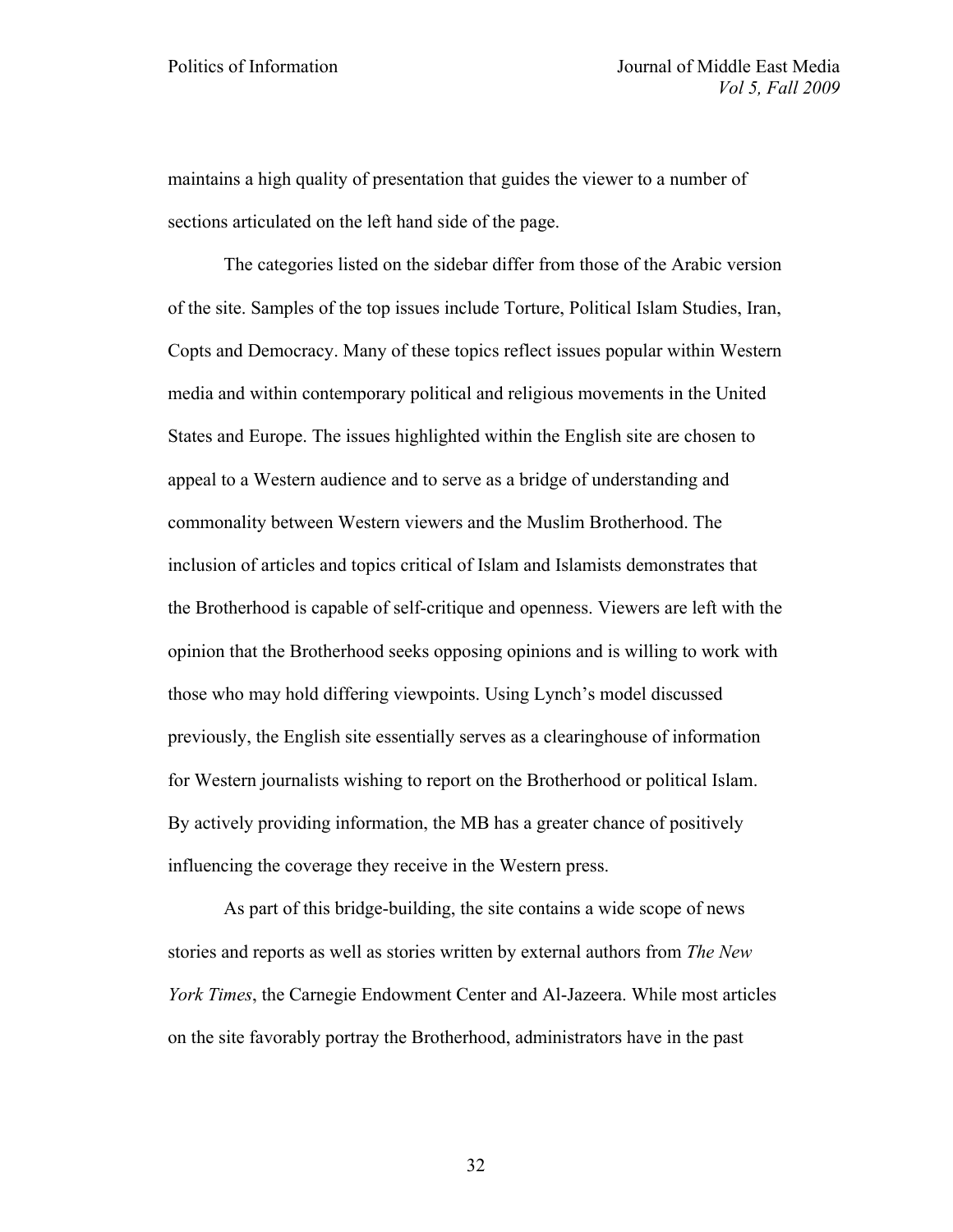maintains a high quality of presentation that guides the viewer to a number of sections articulated on the left hand side of the page.

The categories listed on the sidebar differ from those of the Arabic version of the site. Samples of the top issues include Torture, Political Islam Studies, Iran, Copts and Democracy. Many of these topics reflect issues popular within Western media and within contemporary political and religious movements in the United States and Europe. The issues highlighted within the English site are chosen to appeal to a Western audience and to serve as a bridge of understanding and commonality between Western viewers and the Muslim Brotherhood. The inclusion of articles and topics critical of Islam and Islamists demonstrates that the Brotherhood is capable of self-critique and openness. Viewers are left with the opinion that the Brotherhood seeks opposing opinions and is willing to work with those who may hold differing viewpoints. Using Lynch's model discussed previously, the English site essentially serves as a clearinghouse of information for Western journalists wishing to report on the Brotherhood or political Islam. By actively providing information, the MB has a greater chance of positively influencing the coverage they receive in the Western press.

As part of this bridge-building, the site contains a wide scope of news stories and reports as well as stories written by external authors from *The New York Times*, the Carnegie Endowment Center and Al-Jazeera. While most articles on the site favorably portray the Brotherhood, administrators have in the past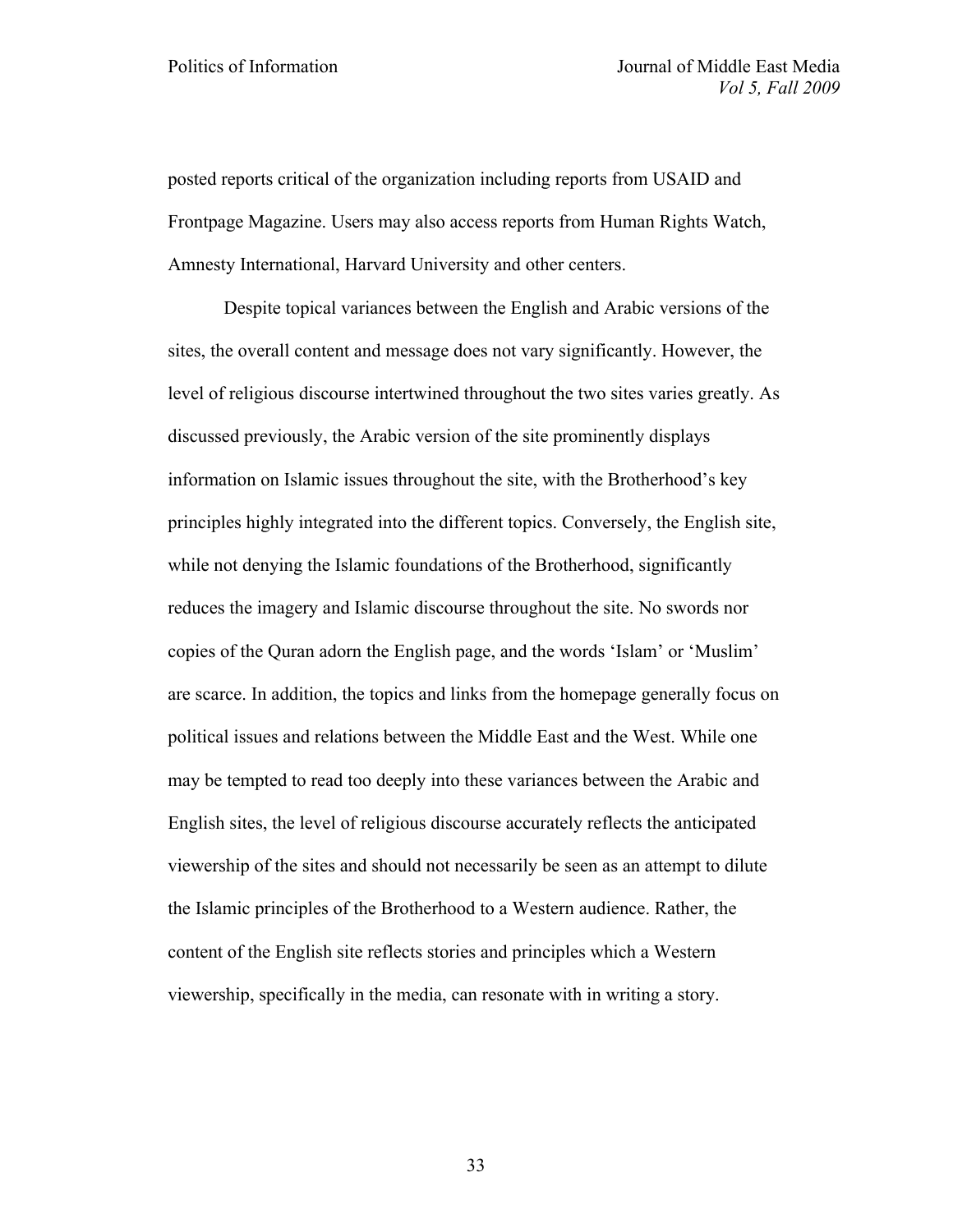posted reports critical of the organization including reports from USAID and Frontpage Magazine. Users may also access reports from Human Rights Watch, Amnesty International, Harvard University and other centers.

Despite topical variances between the English and Arabic versions of the sites, the overall content and message does not vary significantly. However, the level of religious discourse intertwined throughout the two sites varies greatly. As discussed previously, the Arabic version of the site prominently displays information on Islamic issues throughout the site, with the Brotherhood's key principles highly integrated into the different topics. Conversely, the English site, while not denying the Islamic foundations of the Brotherhood, significantly reduces the imagery and Islamic discourse throughout the site. No swords nor copies of the Quran adorn the English page, and the words 'Islam' or 'Muslim' are scarce. In addition, the topics and links from the homepage generally focus on political issues and relations between the Middle East and the West. While one may be tempted to read too deeply into these variances between the Arabic and English sites, the level of religious discourse accurately reflects the anticipated viewership of the sites and should not necessarily be seen as an attempt to dilute the Islamic principles of the Brotherhood to a Western audience. Rather, the content of the English site reflects stories and principles which a Western viewership, specifically in the media, can resonate with in writing a story.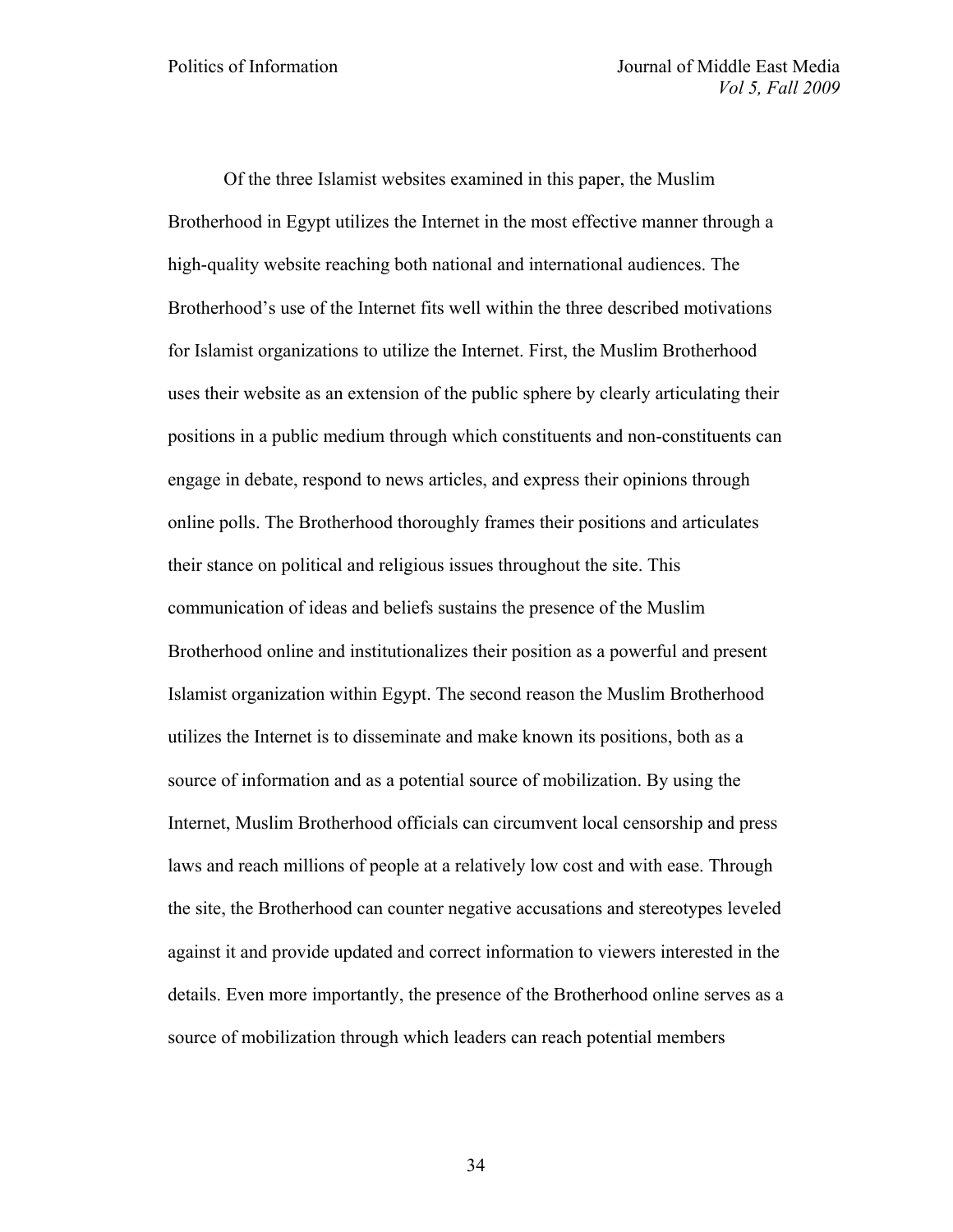Of the three Islamist websites examined in this paper, the Muslim Brotherhood in Egypt utilizes the Internet in the most effective manner through a high-quality website reaching both national and international audiences. The Brotherhood's use of the Internet fits well within the three described motivations for Islamist organizations to utilize the Internet. First, the Muslim Brotherhood uses their website as an extension of the public sphere by clearly articulating their positions in a public medium through which constituents and non-constituents can engage in debate, respond to news articles, and express their opinions through online polls. The Brotherhood thoroughly frames their positions and articulates their stance on political and religious issues throughout the site. This communication of ideas and beliefs sustains the presence of the Muslim Brotherhood online and institutionalizes their position as a powerful and present Islamist organization within Egypt. The second reason the Muslim Brotherhood utilizes the Internet is to disseminate and make known its positions, both as a source of information and as a potential source of mobilization. By using the Internet, Muslim Brotherhood officials can circumvent local censorship and press laws and reach millions of people at a relatively low cost and with ease. Through the site, the Brotherhood can counter negative accusations and stereotypes leveled against it and provide updated and correct information to viewers interested in the details. Even more importantly, the presence of the Brotherhood online serves as a source of mobilization through which leaders can reach potential members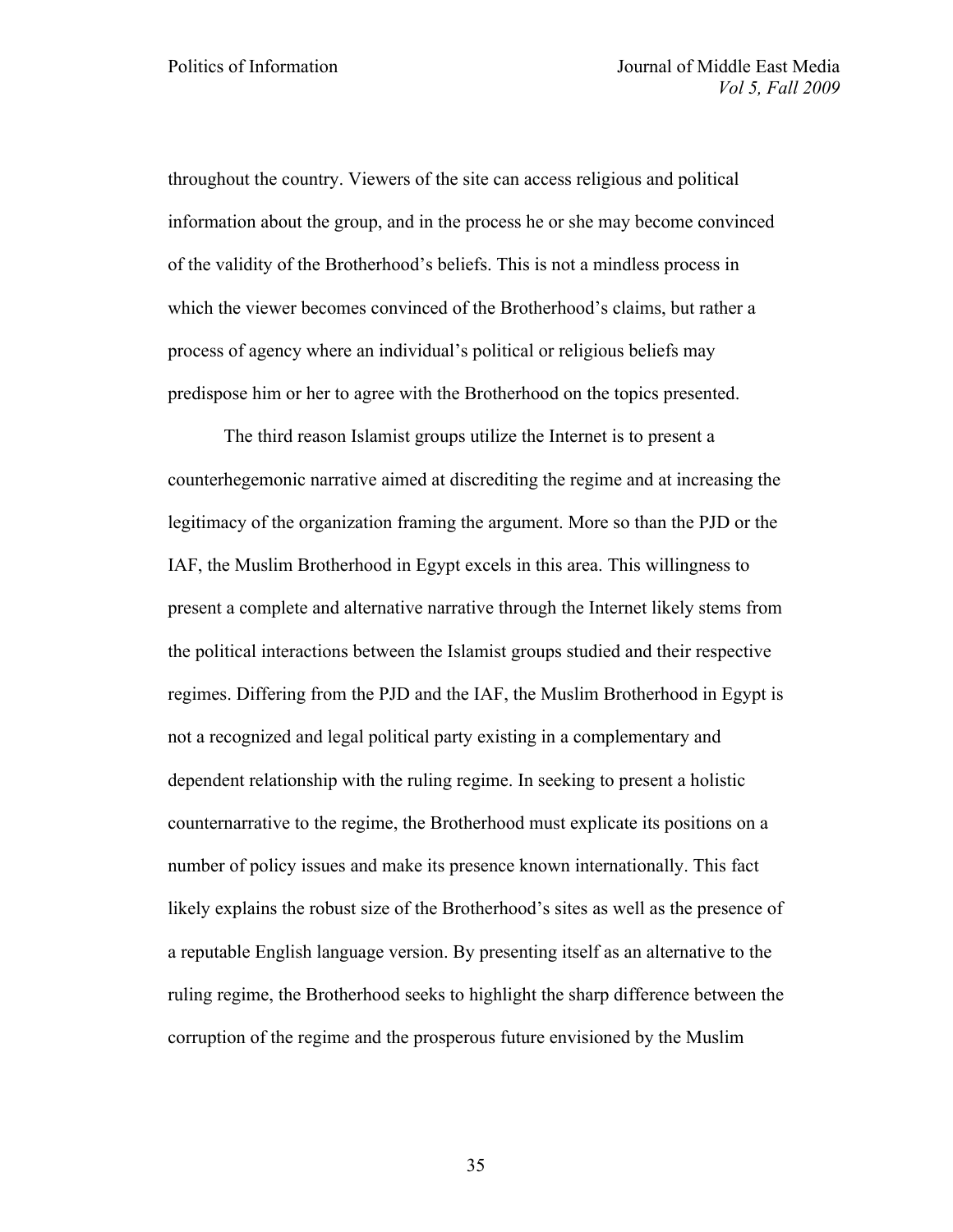throughout the country. Viewers of the site can access religious and political information about the group, and in the process he or she may become convinced of the validity of the Brotherhood's beliefs. This is not a mindless process in which the viewer becomes convinced of the Brotherhood's claims, but rather a process of agency where an individual's political or religious beliefs may predispose him or her to agree with the Brotherhood on the topics presented.

The third reason Islamist groups utilize the Internet is to present a counterhegemonic narrative aimed at discrediting the regime and at increasing the legitimacy of the organization framing the argument. More so than the PJD or the IAF, the Muslim Brotherhood in Egypt excels in this area. This willingness to present a complete and alternative narrative through the Internet likely stems from the political interactions between the Islamist groups studied and their respective regimes. Differing from the PJD and the IAF, the Muslim Brotherhood in Egypt is not a recognized and legal political party existing in a complementary and dependent relationship with the ruling regime. In seeking to present a holistic counternarrative to the regime, the Brotherhood must explicate its positions on a number of policy issues and make its presence known internationally. This fact likely explains the robust size of the Brotherhood's sites as well as the presence of a reputable English language version. By presenting itself as an alternative to the ruling regime, the Brotherhood seeks to highlight the sharp difference between the corruption of the regime and the prosperous future envisioned by the Muslim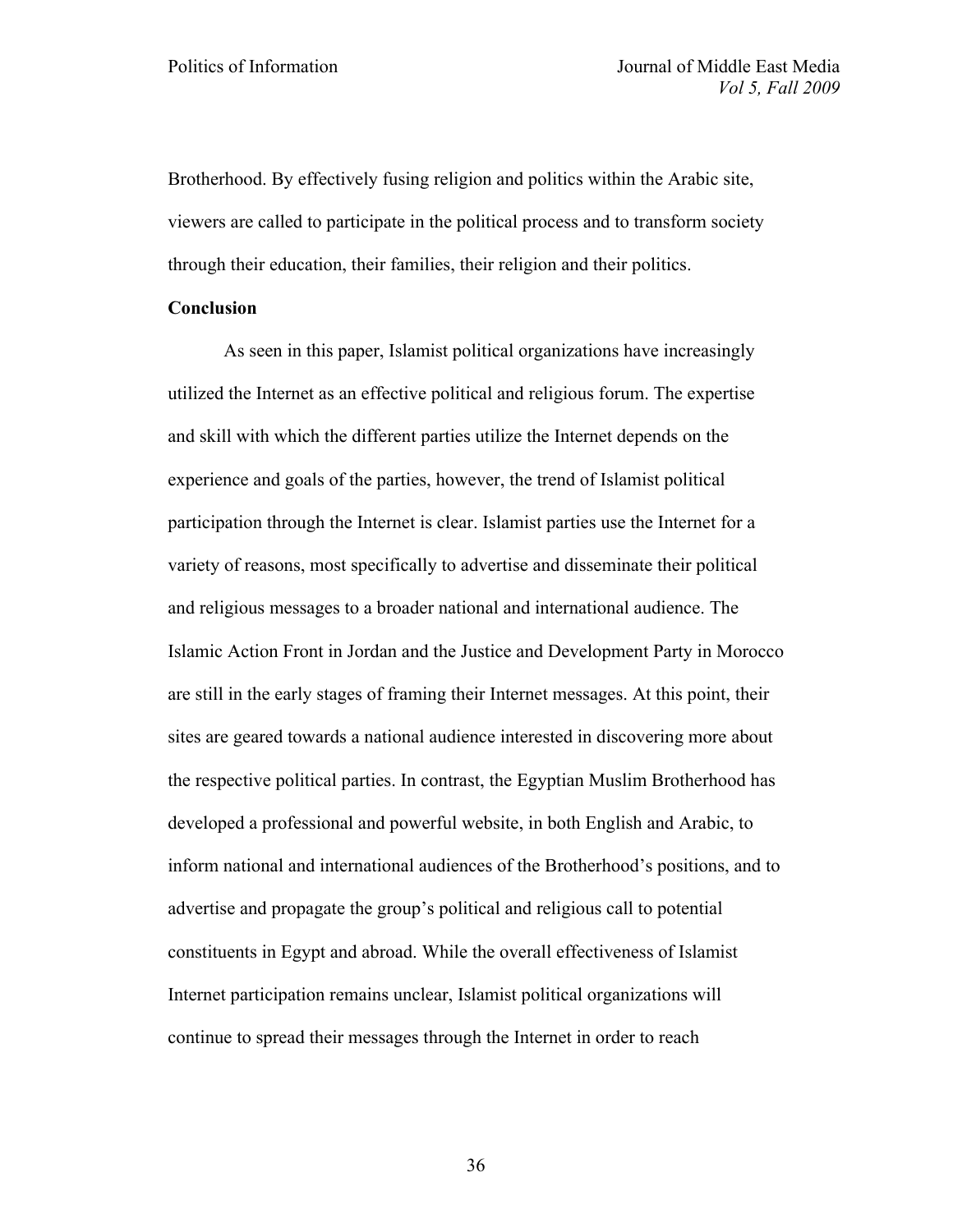Brotherhood. By effectively fusing religion and politics within the Arabic site, viewers are called to participate in the political process and to transform society through their education, their families, their religion and their politics.

# **Conclusion**

As seen in this paper, Islamist political organizations have increasingly utilized the Internet as an effective political and religious forum. The expertise and skill with which the different parties utilize the Internet depends on the experience and goals of the parties, however, the trend of Islamist political participation through the Internet is clear. Islamist parties use the Internet for a variety of reasons, most specifically to advertise and disseminate their political and religious messages to a broader national and international audience. The Islamic Action Front in Jordan and the Justice and Development Party in Morocco are still in the early stages of framing their Internet messages. At this point, their sites are geared towards a national audience interested in discovering more about the respective political parties. In contrast, the Egyptian Muslim Brotherhood has developed a professional and powerful website, in both English and Arabic, to inform national and international audiences of the Brotherhood's positions, and to advertise and propagate the group's political and religious call to potential constituents in Egypt and abroad. While the overall effectiveness of Islamist Internet participation remains unclear, Islamist political organizations will continue to spread their messages through the Internet in order to reach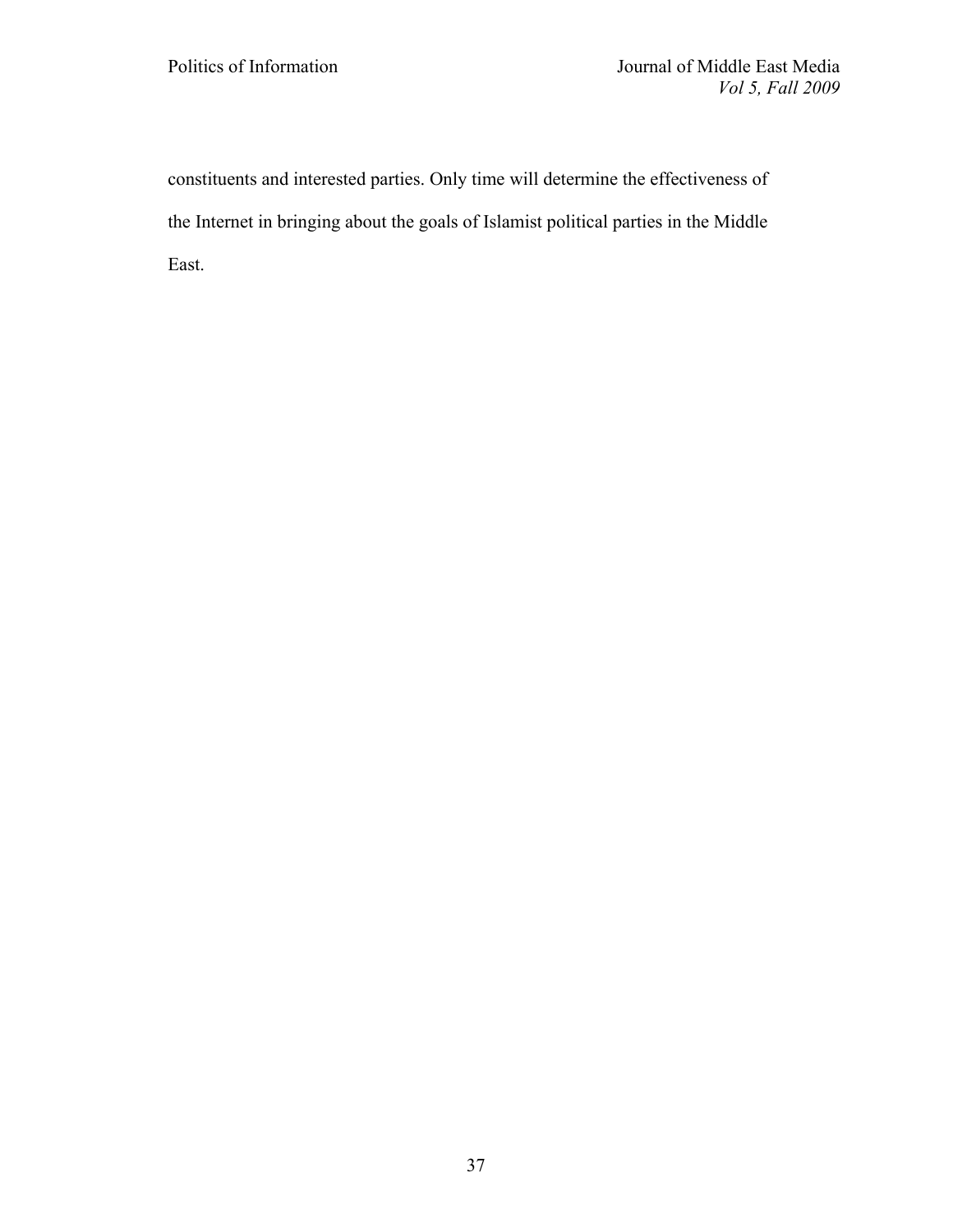constituents and interested parties. Only time will determine the effectiveness of the Internet in bringing about the goals of Islamist political parties in the Middle East.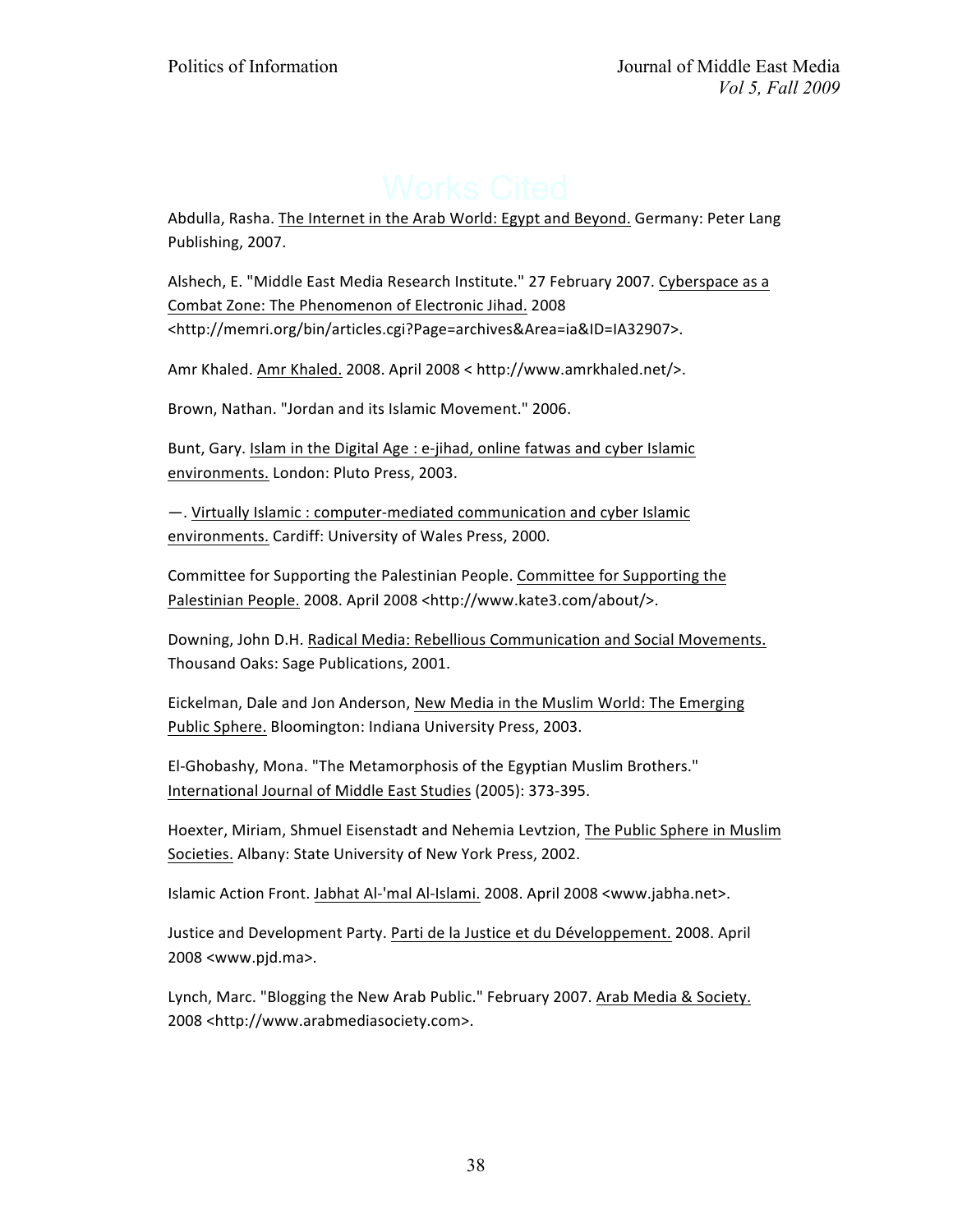Abdulla, Rasha. The Internet in the Arab World: Egypt and Beyond. Germany: Peter Lang Publishing, 2007.

Alshech, E. "Middle East Media Research Institute." 27 February 2007. Cyberspace as a Combat Zone: The Phenomenon of Electronic Jihad. 2008 <http://memri.org/bin/articles.cgi?Page=archives&Area=ia&ID=IA32907>.

Amr Khaled. Amr Khaled. 2008. April 2008 < http://www.amrkhaled.net/>.

Brown, Nathan. "Jordan and its Islamic Movement." 2006.

Bunt, Gary. Islam in the Digital Age : e-jihad, online fatwas and cyber Islamic environments. London: Pluto Press, 2003.

 $-$ . Virtually Islamic : computer-mediated communication and cyber Islamic environments. Cardiff: University of Wales Press, 2000.

Committee for Supporting the Palestinian People. Committee for Supporting the Palestinian People. 2008. April 2008 <http://www.kate3.com/about/>.

Downing, John D.H. Radical Media: Rebellious Communication and Social Movements. Thousand Oaks: Sage Publications, 2001.

Eickelman, Dale and Jon Anderson, New Media in the Muslim World: The Emerging Public Sphere. Bloomington: Indiana University Press, 2003.

El-Ghobashy, Mona. "The Metamorphosis of the Egyptian Muslim Brothers." International Journal of Middle East Studies (2005): 373-395.

Hoexter, Miriam, Shmuel Eisenstadt and Nehemia Levtzion, The Public Sphere in Muslim Societies. Albany: State University of New York Press, 2002.

Islamic Action Front. Jabhat Al-'mal Al-Islami. 2008. April 2008 <www.jabha.net>.

Justice and Development Party. Parti de la Justice et du Développement. 2008. April 2008 <www.pjd.ma>.

Lynch, Marc. "Blogging the New Arab Public." February 2007. Arab Media & Society. 2008 <http://www.arabmediasociety.com>.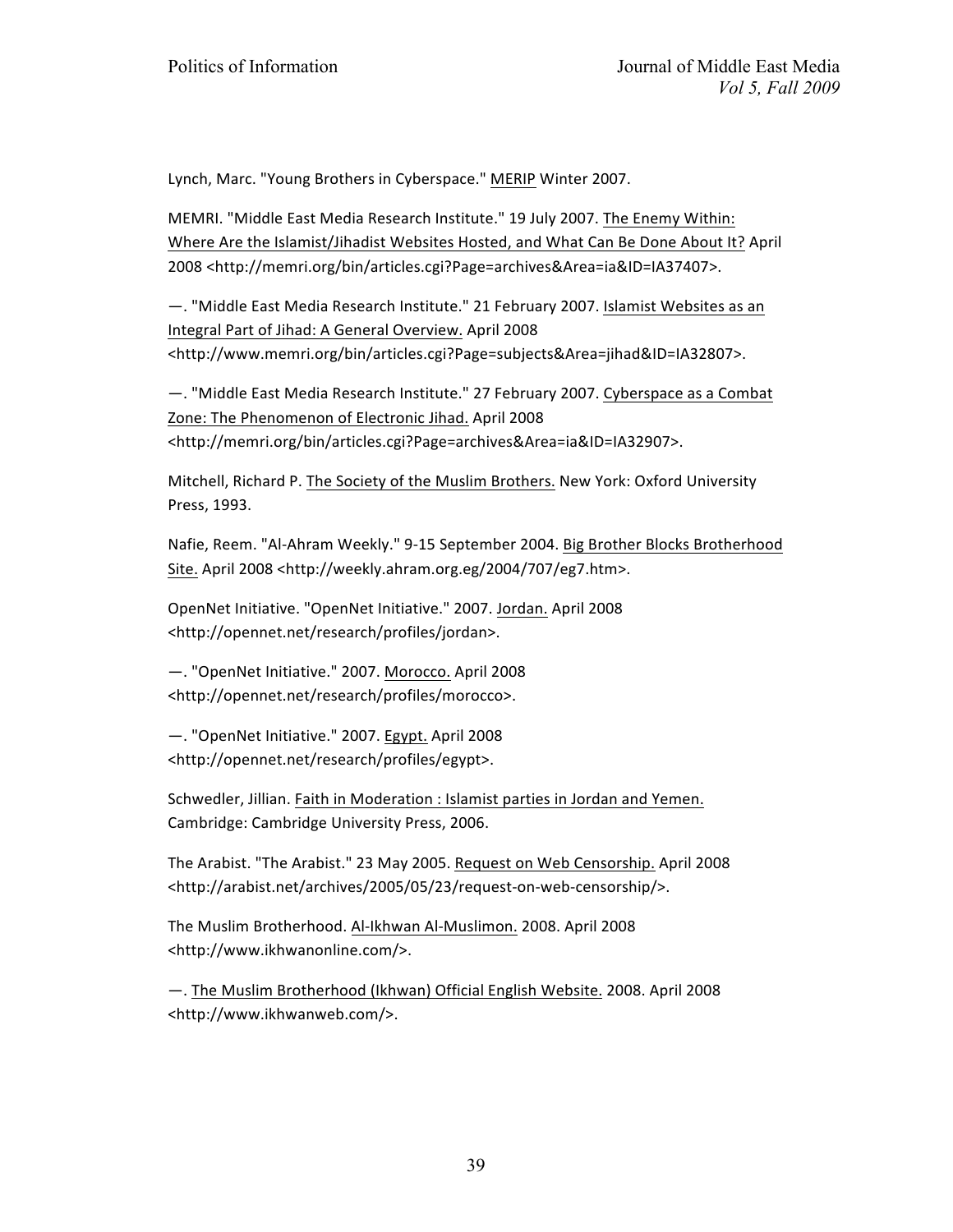Lynch, Marc. "Young Brothers in Cyberspace." MERIP Winter 2007.

MEMRI. "Middle East Media Research Institute." 19 July 2007. The Enemy Within: Where Are the Islamist/Jihadist Websites Hosted, and What Can Be Done About It? April 2008 <http://memri.org/bin/articles.cgi?Page=archives&Area=ia&ID=IA37407>.

 $-$ . "Middle East Media Research Institute." 21 February 2007. Islamist Websites as an Integral Part of Jihad: A General Overview. April 2008 <http://www.memri.org/bin/articles.cgi?Page=subjects&Area=jihad&ID=IA32807>.

 $-$ . "Middle East Media Research Institute." 27 February 2007. Cyberspace as a Combat Zone: The Phenomenon of Electronic Jihad. April 2008 <http://memri.org/bin/articles.cgi?Page=archives&Area=ia&ID=IA32907>.

Mitchell, Richard P. The Society of the Muslim Brothers. New York: Oxford University Press, 1993.

Nafie, Reem. "Al-Ahram Weekly." 9-15 September 2004. Big Brother Blocks Brotherhood Site. April 2008 <http://weekly.ahram.org.eg/2004/707/eg7.htm>.

OpenNet Initiative. "OpenNet Initiative." 2007. Jordan. April 2008 <http://opennet.net/research/profiles/jordan>.

 $-$ . "OpenNet Initiative." 2007. Morocco. April 2008 <http://opennet.net/research/profiles/morocco>.

-. "OpenNet Initiative." 2007. Egypt. April 2008 <http://opennet.net/research/profiles/egypt>.

Schwedler, Jillian. Faith in Moderation : Islamist parties in Jordan and Yemen. Cambridge: Cambridge University Press, 2006.

The Arabist. "The Arabist." 23 May 2005. Request on Web Censorship. April 2008 <http://arabist.net/archives/2005/05/23/request-on-web-censorship/>.

The Muslim Brotherhood. Al-Ikhwan Al-Muslimon. 2008. April 2008 <http://www.ikhwanonline.com/>.

—. The Muslim Brotherhood (Ikhwan) Official English Website. 2008. April 2008 <http://www.ikhwanweb.com/>.